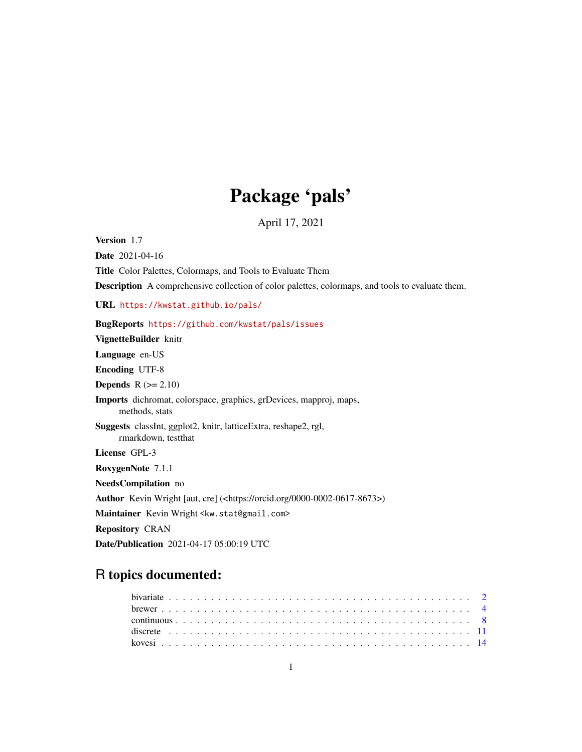# Package 'pals'

April 17, 2021

Version 1.7

Date 2021-04-16

Title Color Palettes, Colormaps, and Tools to Evaluate Them

Description A comprehensive collection of color palettes, colormaps, and tools to evaluate them.

URL <https://kwstat.github.io/pals/>

# BugReports <https://github.com/kwstat/pals/issues>

VignetteBuilder knitr

Language en-US

Encoding UTF-8

**Depends**  $R$  ( $>= 2.10$ )

Imports dichromat, colorspace, graphics, grDevices, mapproj, maps, methods, stats

Suggests classInt, ggplot2, knitr, latticeExtra, reshape2, rgl, rmarkdown, testthat

License GPL-3

RoxygenNote 7.1.1

NeedsCompilation no

Author Kevin Wright [aut, cre] (<https://orcid.org/0000-0002-0617-8673>)

Maintainer Kevin Wright <kw.stat@gmail.com>

Repository CRAN

Date/Publication 2021-04-17 05:00:19 UTC

# R topics documented: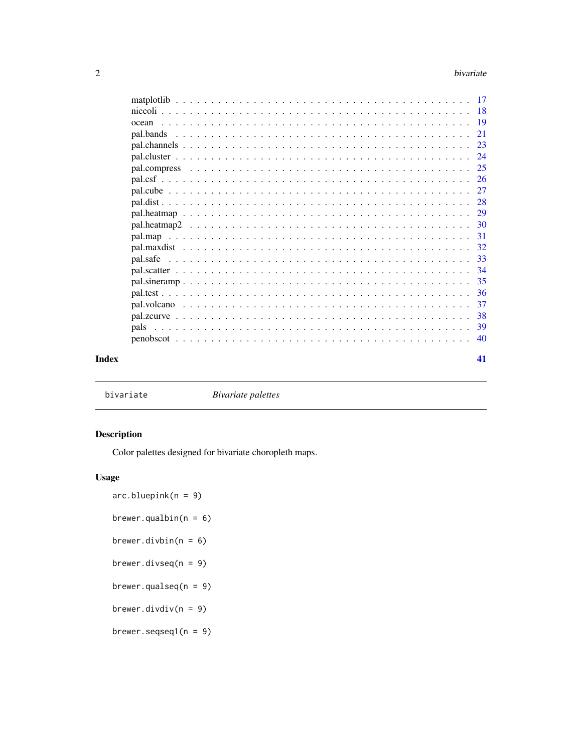<span id="page-1-0"></span>

| ocean     |  |  |  |  |  |  |  |  |  |  |  |  |  |  |  |  |  |  |  |     |
|-----------|--|--|--|--|--|--|--|--|--|--|--|--|--|--|--|--|--|--|--|-----|
| pal.bands |  |  |  |  |  |  |  |  |  |  |  |  |  |  |  |  |  |  |  | 21  |
|           |  |  |  |  |  |  |  |  |  |  |  |  |  |  |  |  |  |  |  |     |
|           |  |  |  |  |  |  |  |  |  |  |  |  |  |  |  |  |  |  |  |     |
|           |  |  |  |  |  |  |  |  |  |  |  |  |  |  |  |  |  |  |  |     |
|           |  |  |  |  |  |  |  |  |  |  |  |  |  |  |  |  |  |  |  |     |
|           |  |  |  |  |  |  |  |  |  |  |  |  |  |  |  |  |  |  |  |     |
|           |  |  |  |  |  |  |  |  |  |  |  |  |  |  |  |  |  |  |  |     |
|           |  |  |  |  |  |  |  |  |  |  |  |  |  |  |  |  |  |  |  |     |
|           |  |  |  |  |  |  |  |  |  |  |  |  |  |  |  |  |  |  |  |     |
|           |  |  |  |  |  |  |  |  |  |  |  |  |  |  |  |  |  |  |  |     |
|           |  |  |  |  |  |  |  |  |  |  |  |  |  |  |  |  |  |  |  |     |
|           |  |  |  |  |  |  |  |  |  |  |  |  |  |  |  |  |  |  |  | 33  |
|           |  |  |  |  |  |  |  |  |  |  |  |  |  |  |  |  |  |  |  |     |
|           |  |  |  |  |  |  |  |  |  |  |  |  |  |  |  |  |  |  |  | 35  |
|           |  |  |  |  |  |  |  |  |  |  |  |  |  |  |  |  |  |  |  |     |
|           |  |  |  |  |  |  |  |  |  |  |  |  |  |  |  |  |  |  |  | -37 |
|           |  |  |  |  |  |  |  |  |  |  |  |  |  |  |  |  |  |  |  |     |
|           |  |  |  |  |  |  |  |  |  |  |  |  |  |  |  |  |  |  |  | 39  |
|           |  |  |  |  |  |  |  |  |  |  |  |  |  |  |  |  |  |  |  | 40  |
|           |  |  |  |  |  |  |  |  |  |  |  |  |  |  |  |  |  |  |  |     |
|           |  |  |  |  |  |  |  |  |  |  |  |  |  |  |  |  |  |  |  | 41  |

bivariate *Bivariate palettes*

# Description

Color palettes designed for bivariate choropleth maps.

# Usage

```
arc.bluepink(n = 9)
```
brewer.qualbin( $n = 6$ )

```
brewer.divbin(n = 6)
```
brewer.divseq(n = 9)

brewer.qualseq(n = 9)

brewer.divdiv( $n = 9$ )

brewer.seqseq1(n = 9)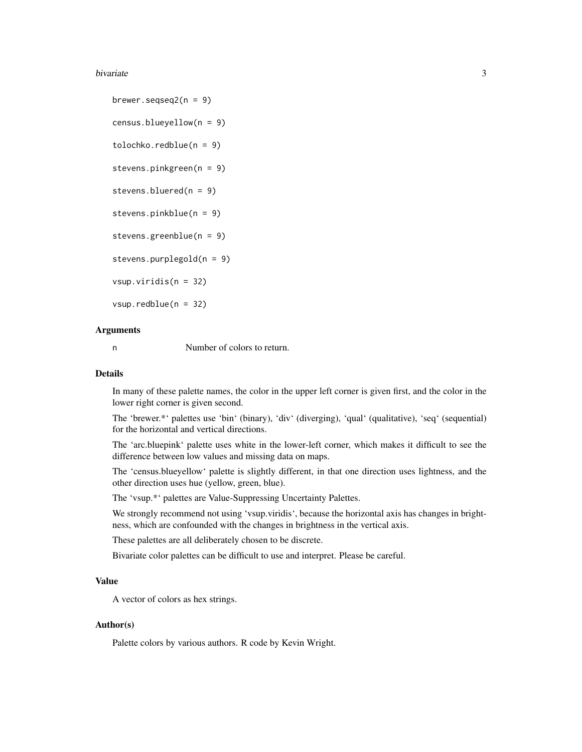#### bivariate 3 and 3 and 3 and 3 and 3 and 3 and 3 and 3 and 3 and 3 and 3 and 3 and 3 and 3 and 3 and 3 and 3 and 3 and 3 and 3 and 3 and 3 and 3 and 3 and 3 and 3 and 3 and 3 and 3 and 3 and 3 and 3 and 3 and 3 and 3 and 3

brewer.seqseq $2(n = 9)$ census.blueyellow(n = 9) tolochko.redblue(n = 9) stevens.pinkgreen(n = 9) stevens.bluered(n = 9) stevens.pinkblue(n = 9) stevens.greenblue(n = 9) stevens.purplegold(n = 9) vsup.viridis(n = 32) vsup.redblue(n = 32)

# Arguments

n Number of colors to return.

#### Details

In many of these palette names, the color in the upper left corner is given first, and the color in the lower right corner is given second.

The 'brewer.\*' palettes use 'bin' (binary), 'div' (diverging), 'qual' (qualitative), 'seq' (sequential) for the horizontal and vertical directions.

The 'arc.bluepink' palette uses white in the lower-left corner, which makes it difficult to see the difference between low values and missing data on maps.

The 'census.blueyellow' palette is slightly different, in that one direction uses lightness, and the other direction uses hue (yellow, green, blue).

The 'vsup.\*' palettes are Value-Suppressing Uncertainty Palettes.

We strongly recommend not using 'vsup.viridis', because the horizontal axis has changes in brightness, which are confounded with the changes in brightness in the vertical axis.

These palettes are all deliberately chosen to be discrete.

Bivariate color palettes can be difficult to use and interpret. Please be careful.

#### Value

A vector of colors as hex strings.

# Author(s)

Palette colors by various authors. R code by Kevin Wright.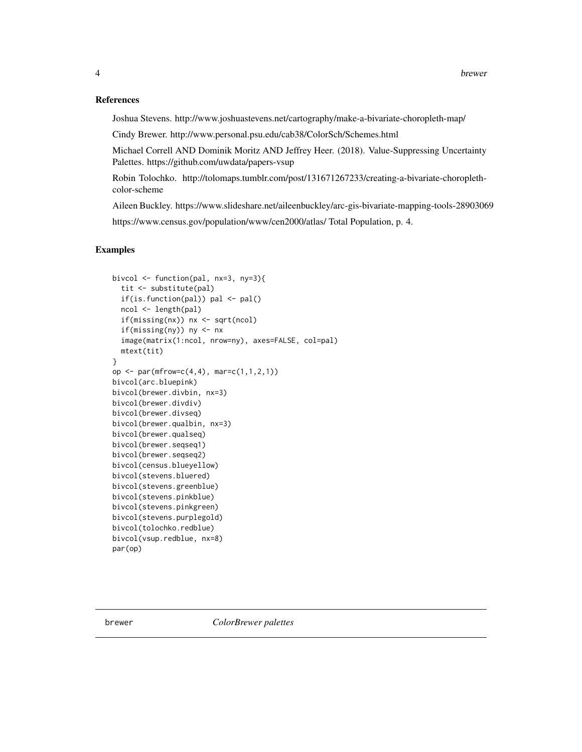#### <span id="page-3-0"></span>References

Joshua Stevens. http://www.joshuastevens.net/cartography/make-a-bivariate-choropleth-map/

Cindy Brewer. http://www.personal.psu.edu/cab38/ColorSch/Schemes.html

Michael Correll AND Dominik Moritz AND Jeffrey Heer. (2018). Value-Suppressing Uncertainty Palettes. https://github.com/uwdata/papers-vsup

Robin Tolochko. http://tolomaps.tumblr.com/post/131671267233/creating-a-bivariate-choroplethcolor-scheme

Aileen Buckley. https://www.slideshare.net/aileenbuckley/arc-gis-bivariate-mapping-tools-28903069 https://www.census.gov/population/www/cen2000/atlas/ Total Population, p. 4.

# Examples

```
bivcol <- function(pal, nx=3, ny=3){
  tit <- substitute(pal)
  if(is.function(pal)) pal <- pal()
  ncol <- length(pal)
  if(missing(nx)) nx <- sqrt(ncol)
  if(missing(ny)) ny <- nx
  image(matrix(1:ncol, nrow=ny), axes=FALSE, col=pal)
  mtext(tit)
}
op <- par(mfrow=c(4,4), mar=c(1,1,2,1))bivcol(arc.bluepink)
bivcol(brewer.divbin, nx=3)
bivcol(brewer.divdiv)
bivcol(brewer.divseq)
bivcol(brewer.qualbin, nx=3)
bivcol(brewer.qualseq)
bivcol(brewer.seqseq1)
bivcol(brewer.seqseq2)
bivcol(census.blueyellow)
bivcol(stevens.bluered)
bivcol(stevens.greenblue)
bivcol(stevens.pinkblue)
bivcol(stevens.pinkgreen)
bivcol(stevens.purplegold)
bivcol(tolochko.redblue)
bivcol(vsup.redblue, nx=8)
par(op)
```
brewer *ColorBrewer palettes*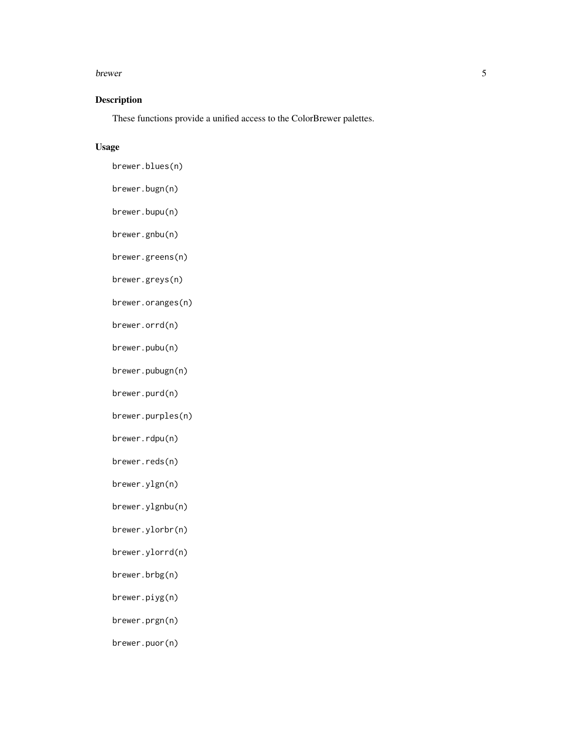#### brewer 5

# Description

These functions provide a unified access to the ColorBrewer palettes.

# Usage

- brewer.blues(n)
- brewer.bugn(n)
- brewer.bupu(n)
- brewer.gnbu(n)
- brewer.greens(n)
- brewer.greys(n)
- brewer.oranges(n)
- brewer.orrd(n)
- brewer.pubu(n)
- brewer.pubugn(n)
- brewer.purd(n)
- brewer.purples(n)
- brewer.rdpu(n)
- brewer.reds(n)
- brewer.ylgn(n)
- brewer.ylgnbu(n)
- brewer.ylorbr(n)
- brewer.ylorrd(n)
- brewer.brbg(n)
- brewer.piyg(n)
- brewer.prgn(n)
- brewer.puor(n)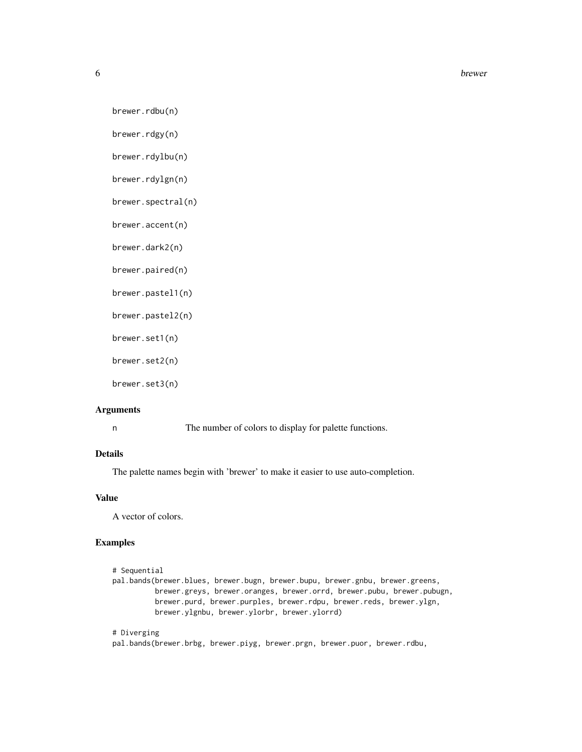**6** brewer and the set of the set of the set of the set of the set of the set of the set of the set of the set of the set of the set of the set of the set of the set of the set of the set of the set of the set of the set o

```
brewer.rdbu(n)
```
brewer.rdgy(n)

brewer.rdylbu(n)

brewer.rdylgn(n)

brewer.spectral(n)

brewer.accent(n)

brewer.dark2(n)

brewer.paired(n)

brewer.pastel1(n)

brewer.pastel2(n)

brewer.set1(n)

brewer.set2(n)

brewer.set3(n)

#### Arguments

n The number of colors to display for palette functions.

# Details

The palette names begin with 'brewer' to make it easier to use auto-completion.

# Value

A vector of colors.

# Examples

```
# Sequential
pal.bands(brewer.blues, brewer.bugn, brewer.bupu, brewer.gnbu, brewer.greens,
         brewer.greys, brewer.oranges, brewer.orrd, brewer.pubu, brewer.pubugn,
         brewer.purd, brewer.purples, brewer.rdpu, brewer.reds, brewer.ylgn,
         brewer.ylgnbu, brewer.ylorbr, brewer.ylorrd)
# Diverging
```
pal.bands(brewer.brbg, brewer.piyg, brewer.prgn, brewer.puor, brewer.rdbu,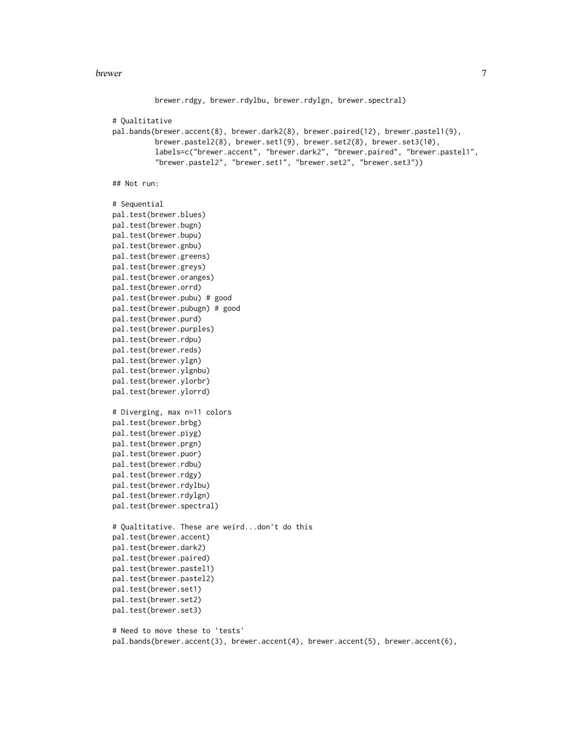#### brewer 7

```
brewer.rdgy, brewer.rdylbu, brewer.rdylgn, brewer.spectral)
# Qualtitative
pal.bands(brewer.accent(8), brewer.dark2(8), brewer.paired(12), brewer.pastel1(9),
          brewer.pastel2(8), brewer.set1(9), brewer.set2(8), brewer.set3(10),
          labels=c("brewer.accent", "brewer.dark2", "brewer.paired", "brewer.pastel1",
          "brewer.pastel2", "brewer.set1", "brewer.set2", "brewer.set3"))
## Not run:
# Sequential
pal.test(brewer.blues)
pal.test(brewer.bugn)
pal.test(brewer.bupu)
pal.test(brewer.gnbu)
pal.test(brewer.greens)
pal.test(brewer.greys)
pal.test(brewer.oranges)
pal.test(brewer.orrd)
pal.test(brewer.pubu) # good
pal.test(brewer.pubugn) # good
pal.test(brewer.purd)
pal.test(brewer.purples)
pal.test(brewer.rdpu)
pal.test(brewer.reds)
pal.test(brewer.ylgn)
pal.test(brewer.ylgnbu)
pal.test(brewer.ylorbr)
pal.test(brewer.ylorrd)
# Diverging, max n=11 colors
pal.test(brewer.brbg)
pal.test(brewer.piyg)
pal.test(brewer.prgn)
pal.test(brewer.puor)
pal.test(brewer.rdbu)
pal.test(brewer.rdgy)
pal.test(brewer.rdylbu)
pal.test(brewer.rdylgn)
pal.test(brewer.spectral)
# Qualtitative. These are weird...don't do this
pal.test(brewer.accent)
pal.test(brewer.dark2)
pal.test(brewer.paired)
pal.test(brewer.pastel1)
pal.test(brewer.pastel2)
pal.test(brewer.set1)
pal.test(brewer.set2)
pal.test(brewer.set3)
```

```
# Need to move these to 'tests'
pal.bands(brewer.accent(3), brewer.accent(4), brewer.accent(5), brewer.accent(6),
```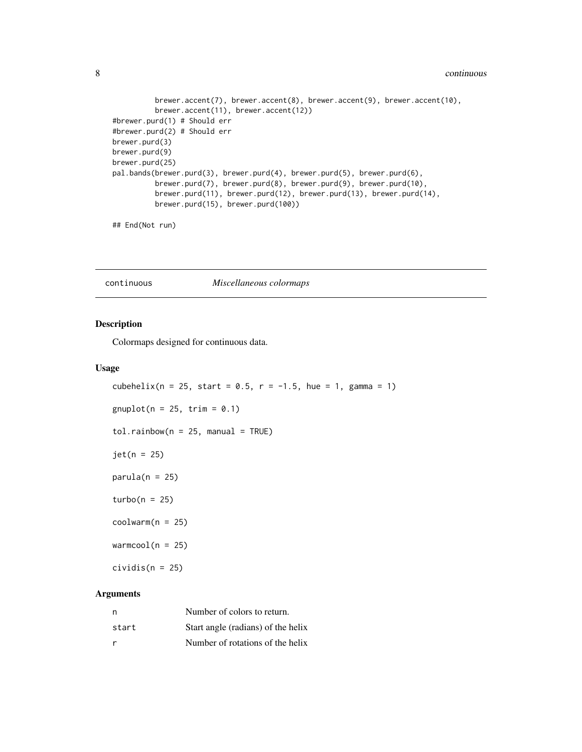#### <span id="page-7-0"></span>8 continuous continuous continuous continuous continuous continuous continuous continuous continuous continuous

```
brewer.accent(7), brewer.accent(8), brewer.accent(9), brewer.accent(10),
         brewer.accent(11), brewer.accent(12))
#brewer.purd(1) # Should err
#brewer.purd(2) # Should err
brewer.purd(3)
brewer.purd(9)
brewer.purd(25)
pal.bands(brewer.purd(3), brewer.purd(4), brewer.purd(5), brewer.purd(6),
         brewer.purd(7), brewer.purd(8), brewer.purd(9), brewer.purd(10),
         brewer.purd(11), brewer.purd(12), brewer.purd(13), brewer.purd(14),
         brewer.purd(15), brewer.purd(100))
```

```
## End(Not run)
```
continuous *Miscellaneous colormaps*

# Description

Colormaps designed for continuous data.

#### Usage

```
cubehelix(n = 25, start = 0.5, r = -1.5, hue = 1, gamma = 1)
gnuplot(n = 25, trim = 0.1)
tol.rainbow(n = 25, manual = TRUE)jet(n = 25)
parula(n = 25)turbo(n = 25)codwarm(n = 25)warmcool(n = 25)cividis(n = 25)
```
#### Arguments

| n     | Number of colors to return.        |
|-------|------------------------------------|
| start | Start angle (radians) of the helix |
| r     | Number of rotations of the helix   |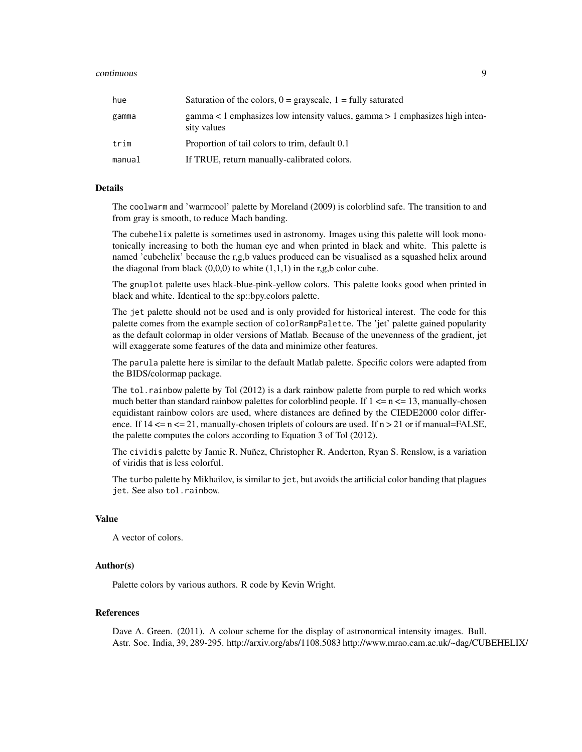#### continuous **9**

| hue    | Saturation of the colors, $0 =$ grayscale, $1 =$ fully saturated                           |
|--------|--------------------------------------------------------------------------------------------|
| gamma  | gamma < 1 emphasizes low intensity values, gamma > 1 emphasizes high inten-<br>sity values |
| trim   | Proportion of tail colors to trim, default 0.1                                             |
| manual | If TRUE, return manually-calibrated colors.                                                |

# Details

The coolwarm and 'warmcool' palette by Moreland (2009) is colorblind safe. The transition to and from gray is smooth, to reduce Mach banding.

The cubehelix palette is sometimes used in astronomy. Images using this palette will look monotonically increasing to both the human eye and when printed in black and white. This palette is named 'cubehelix' because the r,g,b values produced can be visualised as a squashed helix around the diagonal from black  $(0,0,0)$  to white  $(1,1,1)$  in the r,g,b color cube.

The gnuplot palette uses black-blue-pink-yellow colors. This palette looks good when printed in black and white. Identical to the sp::bpy.colors palette.

The jet palette should not be used and is only provided for historical interest. The code for this palette comes from the example section of colorRampPalette. The 'jet' palette gained popularity as the default colormap in older versions of Matlab. Because of the unevenness of the gradient, jet will exaggerate some features of the data and minimize other features.

The parula palette here is similar to the default Matlab palette. Specific colors were adapted from the BIDS/colormap package.

The tol.rainbow palette by Tol (2012) is a dark rainbow palette from purple to red which works much better than standard rainbow palettes for colorblind people. If  $1 \le n \le 13$ , manually-chosen equidistant rainbow colors are used, where distances are defined by the CIEDE2000 color difference. If  $14 \le n \le 21$ , manually-chosen triplets of colours are used. If  $n > 21$  or if manual=FALSE, the palette computes the colors according to Equation 3 of Tol (2012).

The cividis palette by Jamie R. Nuñez, Christopher R. Anderton, Ryan S. Renslow, is a variation of viridis that is less colorful.

The turbo palette by Mikhailov, is similar to jet, but avoids the artificial color banding that plagues jet. See also tol.rainbow.

#### Value

A vector of colors.

#### Author(s)

Palette colors by various authors. R code by Kevin Wright.

#### References

Dave A. Green. (2011). A colour scheme for the display of astronomical intensity images. Bull. Astr. Soc. India, 39, 289-295. http://arxiv.org/abs/1108.5083 http://www.mrao.cam.ac.uk/~dag/CUBEHELIX/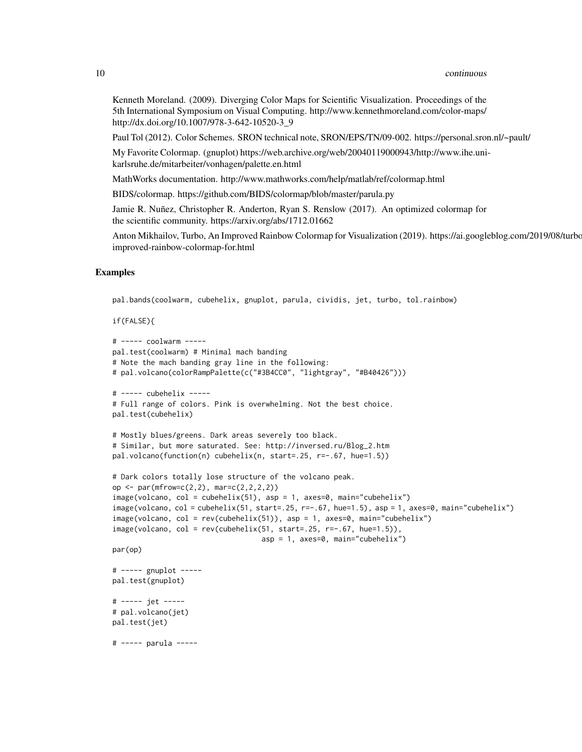#### 10 continuous continuous continuous continuous continuous continuous continuous continuous continuous continuous continuous continuous continuous continuous continuous continuous continuous continuous continuous continuous

Kenneth Moreland. (2009). Diverging Color Maps for Scientific Visualization. Proceedings of the 5th International Symposium on Visual Computing. http://www.kennethmoreland.com/color-maps/ http://dx.doi.org/10.1007/978-3-642-10520-3\_9

Paul Tol (2012). Color Schemes. SRON technical note, SRON/EPS/TN/09-002. https://personal.sron.nl/~pault/

My Favorite Colormap. (gnuplot) https://web.archive.org/web/20040119000943/http://www.ihe.unikarlsruhe.de/mitarbeiter/vonhagen/palette.en.html

MathWorks documentation. http://www.mathworks.com/help/matlab/ref/colormap.html

BIDS/colormap. https://github.com/BIDS/colormap/blob/master/parula.py

Jamie R. Nuñez, Christopher R. Anderton, Ryan S. Renslow (2017). An optimized colormap for the scientific community. https://arxiv.org/abs/1712.01662

Anton Mikhailov, Turbo, An Improved Rainbow Colormap for Visualization (2019). https://ai.googleblog.com/2019/08/turboimproved-rainbow-colormap-for.html

#### Examples

pal.bands(coolwarm, cubehelix, gnuplot, parula, cividis, jet, turbo, tol.rainbow)

```
if(FALSE){
```

```
# ----- coolwarm -----
pal.test(coolwarm) # Minimal mach banding
# Note the mach banding gray line in the following:
# pal.volcano(colorRampPalette(c("#3B4CC0", "lightgray", "#B40426")))
# ----- cubehelix -----
# Full range of colors. Pink is overwhelming. Not the best choice.
pal.test(cubehelix)
# Mostly blues/greens. Dark areas severely too black.
# Similar, but more saturated. See: http://inversed.ru/Blog_2.htm
pal.volcano(function(n) cubehelix(n, start=.25, r=-.67, hue=1.5))
# Dark colors totally lose structure of the volcano peak.
op <- par(mfrow=c(2,2), mar=c(2,2,2,2))
image(volcano, col = cubehelix(51), asp = 1, axes=0, main="cubehelix")
image(volcano, col = cubehelix(51, start=.25, r=-.67, hue=1.5), asp = 1, axes=0, main="cubehelix")
image(volcano, col = rev(cubehelix(51)), asp = 1, axes=0, main="cubehelix")
image(volcano, col = rev(cubehelix(51, start=.25, r=-.67, hue=1.5)),asp = 1, axes=0, main="cubehelix")
par(op)
# ----- gnuplot -----
pal.test(gnuplot)
# ----- jet -----
# pal.volcano(jet)
pal.test(jet)
# ----- parula -----
```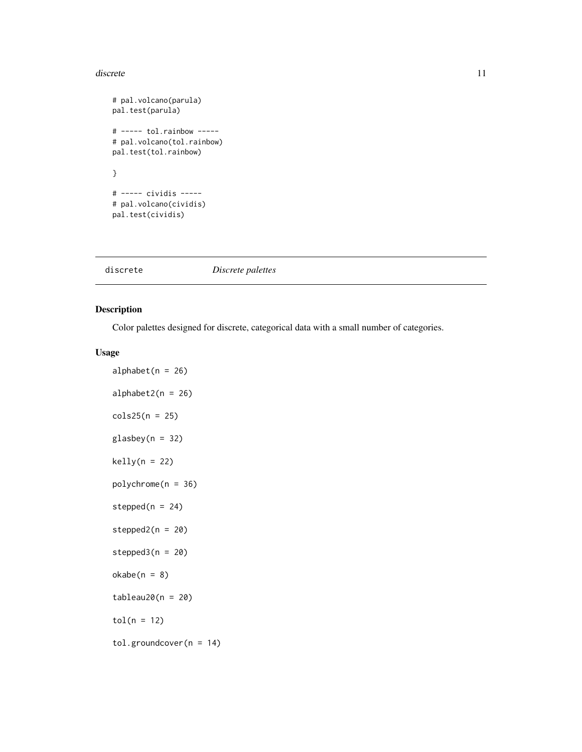#### <span id="page-10-0"></span>discrete the contract of the contract of the contract of the contract of the contract of the contract of the contract of the contract of the contract of the contract of the contract of the contract of the contract of the c

```
# pal.volcano(parula)
pal.test(parula)
# ----- tol.rainbow -----
# pal.volcano(tol.rainbow)
pal.test(tol.rainbow)
}
# ----- cividis -----
# pal.volcano(cividis)
pal.test(cividis)
```
# Description

Color palettes designed for discrete, categorical data with a small number of categories.

#### Usage

```
alphabet(n = 26)
alphabet2(n = 26)cols25(n = 25)glasbey(n = 32)
kelly(n = 22)polychrome(n = 36)
stepped(n = 24)
stepped2(n = 20)stepped3(n = 20)okabe(n = 8)tableau20(n = 20)tol(n = 12)tol.groundcover(n = 14)
```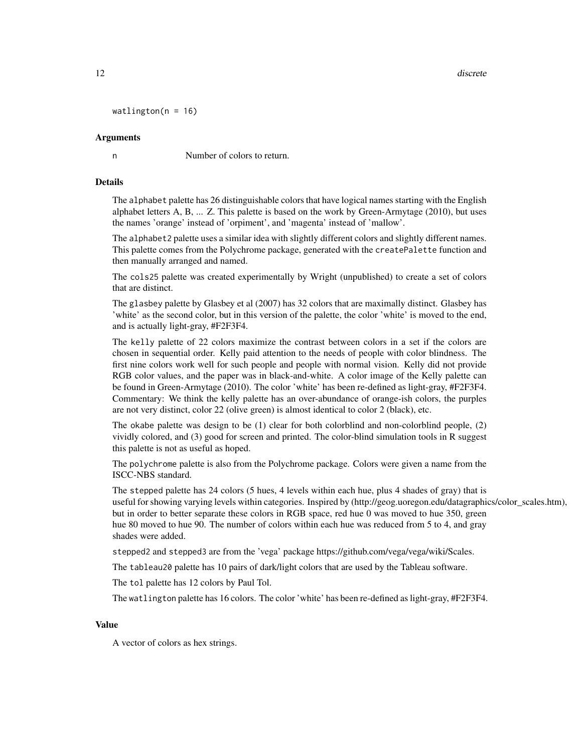12 discrete

```
watlington(n = 16)
```
#### Arguments

n Number of colors to return.

#### Details

The alphabet palette has 26 distinguishable colors that have logical names starting with the English alphabet letters A, B, ... Z. This palette is based on the work by Green-Armytage (2010), but uses the names 'orange' instead of 'orpiment', and 'magenta' instead of 'mallow'.

The alphabet2 palette uses a similar idea with slightly different colors and slightly different names. This palette comes from the Polychrome package, generated with the createPalette function and then manually arranged and named.

The cols25 palette was created experimentally by Wright (unpublished) to create a set of colors that are distinct.

The glasbey palette by Glasbey et al (2007) has 32 colors that are maximally distinct. Glasbey has 'white' as the second color, but in this version of the palette, the color 'white' is moved to the end, and is actually light-gray, #F2F3F4.

The kelly palette of 22 colors maximize the contrast between colors in a set if the colors are chosen in sequential order. Kelly paid attention to the needs of people with color blindness. The first nine colors work well for such people and people with normal vision. Kelly did not provide RGB color values, and the paper was in black-and-white. A color image of the Kelly palette can be found in Green-Armytage (2010). The color 'white' has been re-defined as light-gray, #F2F3F4. Commentary: We think the kelly palette has an over-abundance of orange-ish colors, the purples are not very distinct, color 22 (olive green) is almost identical to color 2 (black), etc.

The okabe palette was design to be (1) clear for both colorblind and non-colorblind people, (2) vividly colored, and (3) good for screen and printed. The color-blind simulation tools in R suggest this palette is not as useful as hoped.

The polychrome palette is also from the Polychrome package. Colors were given a name from the ISCC-NBS standard.

The stepped palette has 24 colors (5 hues, 4 levels within each hue, plus 4 shades of gray) that is useful for showing varying levels within categories. Inspired by (http://geog.uoregon.edu/datagraphics/color\_scales.htm), but in order to better separate these colors in RGB space, red hue 0 was moved to hue 350, green hue 80 moved to hue 90. The number of colors within each hue was reduced from 5 to 4, and gray shades were added.

stepped2 and stepped3 are from the 'vega' package https://github.com/vega/vega/wiki/Scales.

The tableau20 palette has 10 pairs of dark/light colors that are used by the Tableau software.

The tol palette has 12 colors by Paul Tol.

The watlington palette has 16 colors. The color 'white' has been re-defined as light-gray, #F2F3F4.

#### Value

A vector of colors as hex strings.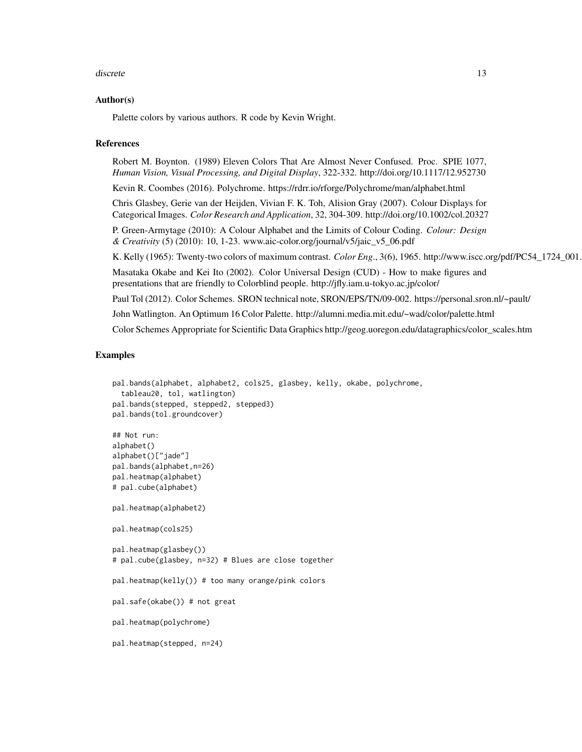#### discrete the contract of the contract of the contract of the contract of the contract of the contract of the contract of the contract of the contract of the contract of the contract of the contract of the contract of the c

#### Author(s)

Palette colors by various authors. R code by Kevin Wright.

#### References

Robert M. Boynton. (1989) Eleven Colors That Are Almost Never Confused. Proc. SPIE 1077, *Human Vision, Visual Processing, and Digital Display*, 322-332. http://doi.org/10.1117/12.952730

Kevin R. Coombes (2016). Polychrome. https://rdrr.io/rforge/Polychrome/man/alphabet.html

Chris Glasbey, Gerie van der Heijden, Vivian F. K. Toh, Alision Gray (2007). Colour Displays for Categorical Images. *Color Research and Application*, 32, 304-309. http://doi.org/10.1002/col.20327

P. Green-Armytage (2010): A Colour Alphabet and the Limits of Colour Coding. *Colour: Design & Creativity* (5) (2010): 10, 1-23. www.aic-color.org/journal/v5/jaic\_v5\_06.pdf

K. Kelly (1965): Twenty-two colors of maximum contrast. *Color Eng.*, 3(6), 1965. http://www.iscc.org/pdf/PC54\_1724\_001.

Masataka Okabe and Kei Ito (2002). Color Universal Design (CUD) - How to make figures and presentations that are friendly to Colorblind people. http://jfly.iam.u-tokyo.ac.jp/color/

Paul Tol (2012). Color Schemes. SRON technical note, SRON/EPS/TN/09-002. https://personal.sron.nl/~pault/

John Watlington. An Optimum 16 Color Palette. http://alumni.media.mit.edu/~wad/color/palette.html

Color Schemes Appropriate for Scientific Data Graphics http://geog.uoregon.edu/datagraphics/color\_scales.htm

```
pal.bands(alphabet, alphabet2, cols25, glasbey, kelly, okabe, polychrome,
 tableau20, tol, watlington)
pal.bands(stepped, stepped2, stepped3)
pal.bands(tol.groundcover)
## Not run:
alphabet()
alphabet()["jade"]
pal.bands(alphabet,n=26)
pal.heatmap(alphabet)
# pal.cube(alphabet)
pal.heatmap(alphabet2)
pal.heatmap(cols25)
pal.heatmap(glasbey())
# pal.cube(glasbey, n=32) # Blues are close together
pal.heatmap(kelly()) # too many orange/pink colors
pal.safe(okabe()) # not great
pal.heatmap(polychrome)
pal.heatmap(stepped, n=24)
```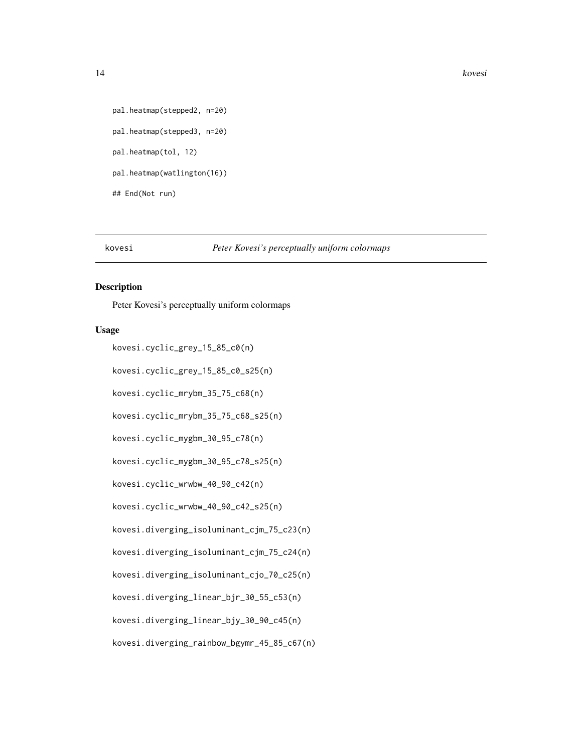#### <span id="page-13-0"></span>14 kovesi

```
pal.heatmap(stepped2, n=20)
pal.heatmap(stepped3, n=20)
pal.heatmap(tol, 12)
pal.heatmap(watlington(16))
## End(Not run)
```
#### kovesi *Peter Kovesi's perceptually uniform colormaps*

# Description

Peter Kovesi's perceptually uniform colormaps

# Usage

```
kovesi.cyclic_grey_15_85_c0(n)
```
kovesi.cyclic\_grey\_15\_85\_c0\_s25(n)

kovesi.cyclic\_mrybm\_35\_75\_c68(n)

kovesi.cyclic\_mrybm\_35\_75\_c68\_s25(n)

kovesi.cyclic\_mygbm\_30\_95\_c78(n)

kovesi.cyclic\_mygbm\_30\_95\_c78\_s25(n)

kovesi.cyclic\_wrwbw\_40\_90\_c42(n)

kovesi.cyclic\_wrwbw\_40\_90\_c42\_s25(n)

kovesi.diverging\_isoluminant\_cjm\_75\_c23(n)

kovesi.diverging\_isoluminant\_cjm\_75\_c24(n)

kovesi.diverging\_isoluminant\_cjo\_70\_c25(n)

kovesi.diverging\_linear\_bjr\_30\_55\_c53(n)

kovesi.diverging\_linear\_bjy\_30\_90\_c45(n)

kovesi.diverging\_rainbow\_bgymr\_45\_85\_c67(n)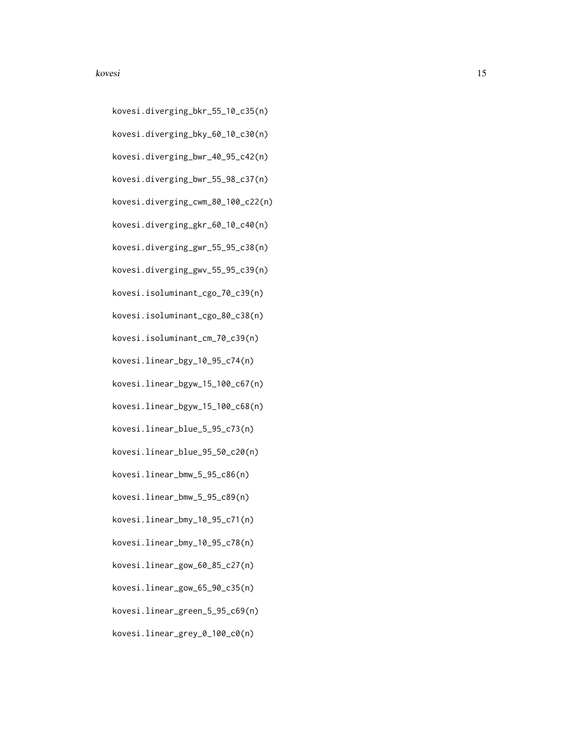#### kovesi komunistise komunistise komunistise komunistise komunistise komunistise komunistise komunistise komunistise komunistise komunistise komunistise komunistise komunistise komunistise komunistise komunistise komunistise

- kovesi.diverging\_bkr\_55\_10\_c35(n)
- kovesi.diverging\_bky\_60\_10\_c30(n)
- kovesi.diverging\_bwr\_40\_95\_c42(n)
- kovesi.diverging\_bwr\_55\_98\_c37(n)
- kovesi.diverging\_cwm\_80\_100\_c22(n)
- kovesi.diverging\_gkr\_60\_10\_c40(n)
- kovesi.diverging\_gwr\_55\_95\_c38(n)
- kovesi.diverging\_gwv\_55\_95\_c39(n)
- kovesi.isoluminant\_cgo\_70\_c39(n)
- kovesi.isoluminant\_cgo\_80\_c38(n)
- kovesi.isoluminant\_cm\_70\_c39(n)
- kovesi.linear\_bgy\_10\_95\_c74(n)
- kovesi.linear\_bgyw\_15\_100\_c67(n)
- kovesi.linear\_bgyw\_15\_100\_c68(n)
- kovesi.linear\_blue\_5\_95\_c73(n)
- kovesi.linear\_blue\_95\_50\_c20(n)
- kovesi.linear\_bmw\_5\_95\_c86(n)
- kovesi.linear\_bmw\_5\_95\_c89(n)
- kovesi.linear\_bmy\_10\_95\_c71(n)
- kovesi.linear\_bmy\_10\_95\_c78(n)
- kovesi.linear\_gow\_60\_85\_c27(n)
- kovesi.linear\_gow\_65\_90\_c35(n)
- kovesi.linear\_green\_5\_95\_c69(n)
- kovesi.linear\_grey\_0\_100\_c0(n)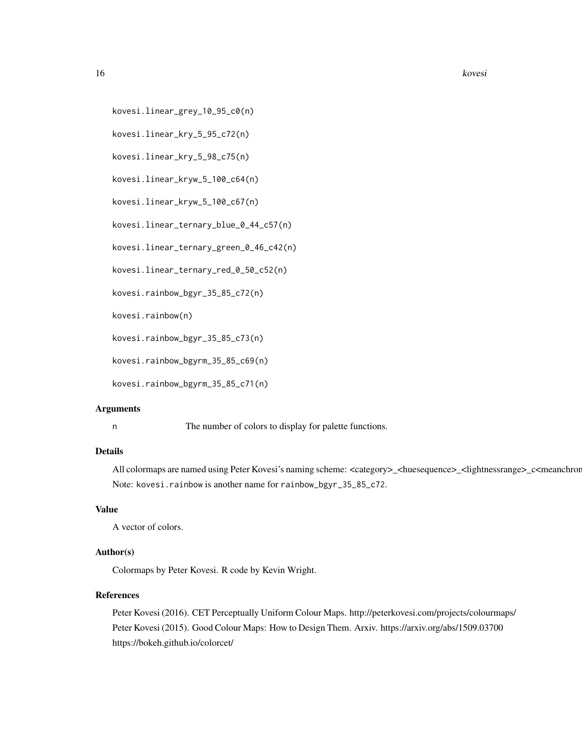16 kovesi kovesi kovesi kovesi kovesi kovesi kovesi kovesi kovesi kovesi kovesi kovesi kovesi kovesi kovesi ko

```
kovesi.linear_grey_10_95_c0(n)
```
kovesi.linear\_kry\_5\_95\_c72(n)

kovesi.linear\_kry\_5\_98\_c75(n)

kovesi.linear\_kryw\_5\_100\_c64(n)

kovesi.linear\_kryw\_5\_100\_c67(n)

kovesi.linear\_ternary\_blue\_0\_44\_c57(n)

kovesi.linear\_ternary\_green\_0\_46\_c42(n)

kovesi.linear\_ternary\_red\_0\_50\_c52(n)

kovesi.rainbow\_bgyr\_35\_85\_c72(n)

kovesi.rainbow(n)

kovesi.rainbow\_bgyr\_35\_85\_c73(n)

kovesi.rainbow\_bgyrm\_35\_85\_c69(n)

kovesi.rainbow\_bgyrm\_35\_85\_c71(n)

#### **Arguments**

n The number of colors to display for palette functions.

#### Details

All colormaps are named using Peter Kovesi's naming scheme: <category>\_<huesequence>\_<lightnessrange>\_c<meanchroma Note: kovesi.rainbow is another name for rainbow\_bgyr\_35\_85\_c72.

# Value

A vector of colors.

# Author(s)

Colormaps by Peter Kovesi. R code by Kevin Wright.

# References

Peter Kovesi (2016). CET Perceptually Uniform Colour Maps. http://peterkovesi.com/projects/colourmaps/ Peter Kovesi (2015). Good Colour Maps: How to Design Them. Arxiv. https://arxiv.org/abs/1509.03700 https://bokeh.github.io/colorcet/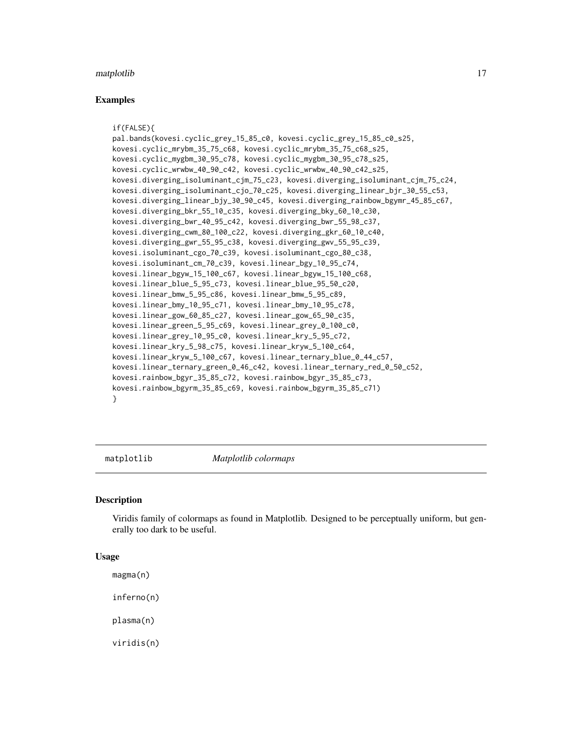#### <span id="page-16-0"></span>matplotlib 17

#### Examples

```
if(FALSE){
pal.bands(kovesi.cyclic_grey_15_85_c0, kovesi.cyclic_grey_15_85_c0_s25,
kovesi.cyclic_mrybm_35_75_c68, kovesi.cyclic_mrybm_35_75_c68_s25,
kovesi.cyclic_mygbm_30_95_c78, kovesi.cyclic_mygbm_30_95_c78_s25,
kovesi.cyclic_wrwbw_40_90_c42, kovesi.cyclic_wrwbw_40_90_c42_s25,
kovesi.diverging_isoluminant_cjm_75_c23, kovesi.diverging_isoluminant_cjm_75_c24,
kovesi.diverging_isoluminant_cjo_70_c25, kovesi.diverging_linear_bjr_30_55_c53,
kovesi.diverging_linear_bjy_30_90_c45, kovesi.diverging_rainbow_bgymr_45_85_c67,
kovesi.diverging_bkr_55_10_c35, kovesi.diverging_bky_60_10_c30,
kovesi.diverging_bwr_40_95_c42, kovesi.diverging_bwr_55_98_c37,
kovesi.diverging_cwm_80_100_c22, kovesi.diverging_gkr_60_10_c40,
kovesi.diverging_gwr_55_95_c38, kovesi.diverging_gwv_55_95_c39,
kovesi.isoluminant_cgo_70_c39, kovesi.isoluminant_cgo_80_c38,
kovesi.isoluminant_cm_70_c39, kovesi.linear_bgy_10_95_c74,
kovesi.linear_bgyw_15_100_c67, kovesi.linear_bgyw_15_100_c68,
kovesi.linear_blue_5_95_c73, kovesi.linear_blue_95_50_c20,
kovesi.linear_bmw_5_95_c86, kovesi.linear_bmw_5_95_c89,
kovesi.linear_bmy_10_95_c71, kovesi.linear_bmy_10_95_c78,
kovesi.linear_gow_60_85_c27, kovesi.linear_gow_65_90_c35,
kovesi.linear_green_5_95_c69, kovesi.linear_grey_0_100_c0,
kovesi.linear_grey_10_95_c0, kovesi.linear_kry_5_95_c72,
kovesi.linear_kry_5_98_c75, kovesi.linear_kryw_5_100_c64,
kovesi.linear_kryw_5_100_c67, kovesi.linear_ternary_blue_0_44_c57,
kovesi.linear_ternary_green_0_46_c42, kovesi.linear_ternary_red_0_50_c52,
kovesi.rainbow_bgyr_35_85_c72, kovesi.rainbow_bgyr_35_85_c73,
kovesi.rainbow_bgyrm_35_85_c69, kovesi.rainbow_bgyrm_35_85_c71)
}
```
matplotlib *Matplotlib colormaps*

#### Description

Viridis family of colormaps as found in Matplotlib. Designed to be perceptually uniform, but generally too dark to be useful.

#### Usage

magma(n)

inferno(n)

plasma(n)

viridis(n)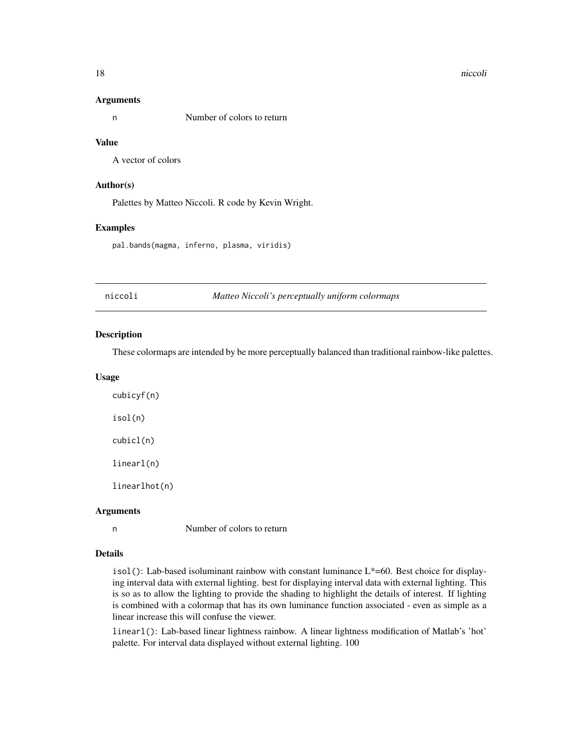#### <span id="page-17-0"></span>18 niccoli and the state of the state of the state of the state of the state of the state of the state of the state of the state of the state of the state of the state of the state of the state of the state of the state of

#### Arguments

n Number of colors to return

#### Value

A vector of colors

#### Author(s)

Palettes by Matteo Niccoli. R code by Kevin Wright.

#### Examples

pal.bands(magma, inferno, plasma, viridis)

niccoli *Matteo Niccoli's perceptually uniform colormaps*

#### Description

These colormaps are intended by be more perceptually balanced than traditional rainbow-like palettes.

#### Usage

cubicyf(n) isol(n) cubicl(n) linearl(n) linearlhot(n)

#### Arguments

n Number of colors to return

# Details

isol(): Lab-based isoluminant rainbow with constant luminance  $L^*=60$ . Best choice for displaying interval data with external lighting. best for displaying interval data with external lighting. This is so as to allow the lighting to provide the shading to highlight the details of interest. If lighting is combined with a colormap that has its own luminance function associated - even as simple as a linear increase this will confuse the viewer.

linearl(): Lab-based linear lightness rainbow. A linear lightness modification of Matlab's 'hot' palette. For interval data displayed without external lighting. 100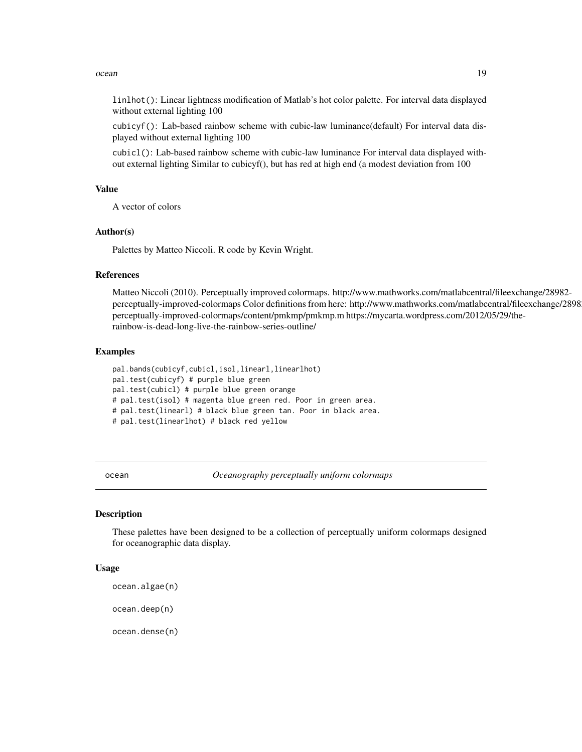#### <span id="page-18-0"></span>ocean and the contract of the contract of the contract of the contract of the contract of the contract of the contract of the contract of the contract of the contract of the contract of the contract of the contract of the

linlhot(): Linear lightness modification of Matlab's hot color palette. For interval data displayed without external lighting 100

cubicyf(): Lab-based rainbow scheme with cubic-law luminance(default) For interval data displayed without external lighting 100

cubicl(): Lab-based rainbow scheme with cubic-law luminance For interval data displayed without external lighting Similar to cubicyf(), but has red at high end (a modest deviation from 100

# Value

A vector of colors

#### Author(s)

Palettes by Matteo Niccoli. R code by Kevin Wright.

#### References

Matteo Niccoli (2010). Perceptually improved colormaps. http://www.mathworks.com/matlabcentral/fileexchange/28982 perceptually-improved-colormaps Color definitions from here: http://www.mathworks.com/matlabcentral/fileexchange/2898 perceptually-improved-colormaps/content/pmkmp/pmkmp.m https://mycarta.wordpress.com/2012/05/29/therainbow-is-dead-long-live-the-rainbow-series-outline/

#### Examples

pal.bands(cubicyf,cubicl,isol,linearl,linearlhot) pal.test(cubicyf) # purple blue green pal.test(cubicl) # purple blue green orange # pal.test(isol) # magenta blue green red. Poor in green area. # pal.test(linearl) # black blue green tan. Poor in black area. # pal.test(linearlhot) # black red yellow

ocean *Oceanography perceptually uniform colormaps*

#### Description

These palettes have been designed to be a collection of perceptually uniform colormaps designed for oceanographic data display.

# Usage

```
ocean.algae(n)
```
ocean.deep(n)

ocean.dense(n)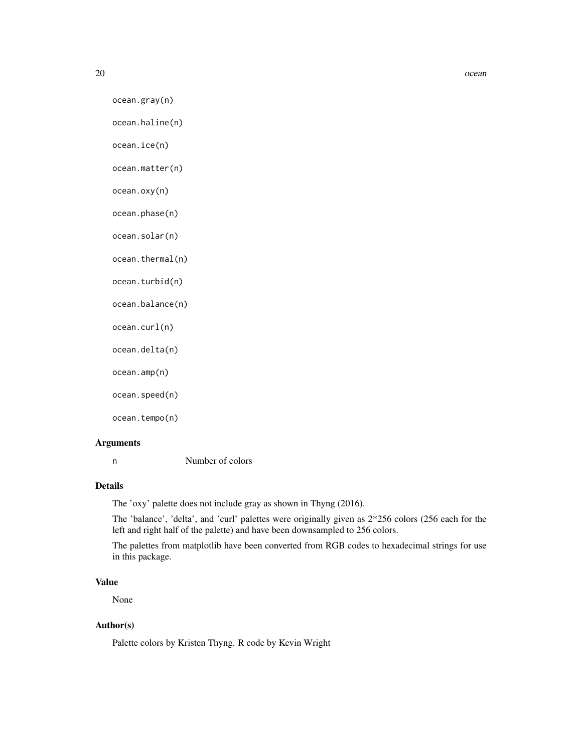ocean.gray(n)

```
ocean.haline(n)
```
ocean.ice(n)

ocean.matter(n)

ocean.oxy(n)

ocean.phase(n)

ocean.solar(n)

ocean.thermal(n)

ocean.turbid(n)

ocean.balance(n)

ocean.curl(n)

ocean.delta(n)

ocean.amp(n)

ocean.speed(n)

ocean.tempo(n)

#### Arguments

n Number of colors

# Details

The 'oxy' palette does not include gray as shown in Thyng (2016).

The 'balance', 'delta', and 'curl' palettes were originally given as 2\*256 colors (256 each for the left and right half of the palette) and have been downsampled to 256 colors.

The palettes from matplotlib have been converted from RGB codes to hexadecimal strings for use in this package.

# Value

None

# Author(s)

Palette colors by Kristen Thyng. R code by Kevin Wright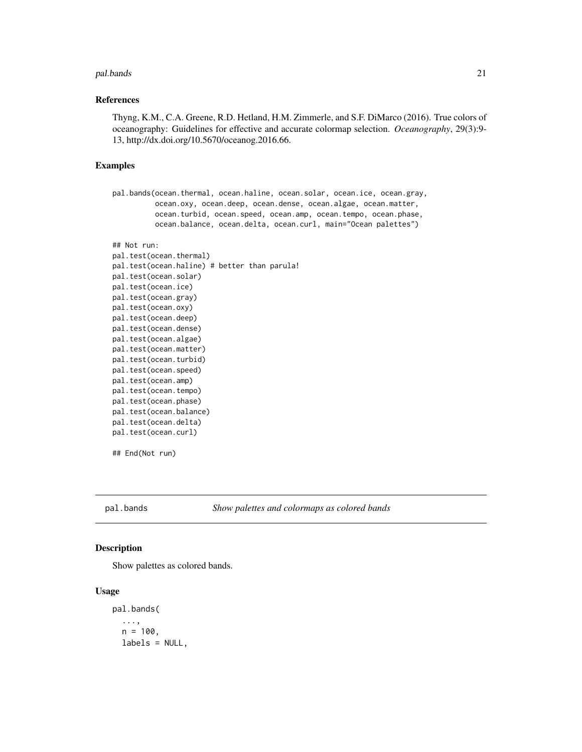#### <span id="page-20-0"></span>pal.bands 21

#### References

Thyng, K.M., C.A. Greene, R.D. Hetland, H.M. Zimmerle, and S.F. DiMarco (2016). True colors of oceanography: Guidelines for effective and accurate colormap selection. *Oceanography*, 29(3):9- 13, http://dx.doi.org/10.5670/oceanog.2016.66.

#### Examples

```
pal.bands(ocean.thermal, ocean.haline, ocean.solar, ocean.ice, ocean.gray,
          ocean.oxy, ocean.deep, ocean.dense, ocean.algae, ocean.matter,
          ocean.turbid, ocean.speed, ocean.amp, ocean.tempo, ocean.phase,
          ocean.balance, ocean.delta, ocean.curl, main="Ocean palettes")
## Not run:
```

```
pal.test(ocean.thermal)
pal.test(ocean.haline) # better than parula!
pal.test(ocean.solar)
pal.test(ocean.ice)
pal.test(ocean.gray)
pal.test(ocean.oxy)
pal.test(ocean.deep)
pal.test(ocean.dense)
pal.test(ocean.algae)
pal.test(ocean.matter)
pal.test(ocean.turbid)
pal.test(ocean.speed)
pal.test(ocean.amp)
pal.test(ocean.tempo)
pal.test(ocean.phase)
pal.test(ocean.balance)
pal.test(ocean.delta)
pal.test(ocean.curl)
```
## End(Not run)

pal.bands *Show palettes and colormaps as colored bands*

# Description

Show palettes as colored bands.

#### Usage

pal.bands( ...,  $n = 100$ , labels = NULL,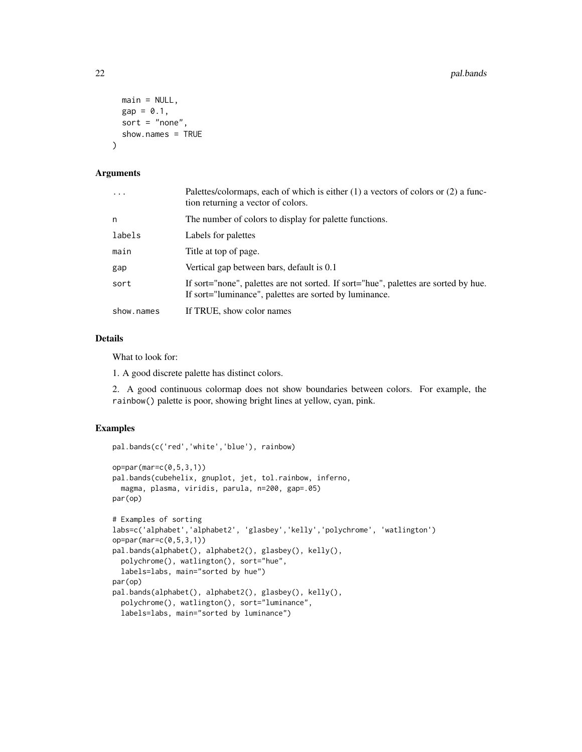```
main = NULL,
 gap = 0.1,sort = "none",
  show.names = TRUE
)
```
# Arguments

| $\cdots$   | Palettes/colormaps, each of which is either $(1)$ a vectors of colors or $(2)$ a func-<br>tion returning a vector of colors.                  |
|------------|-----------------------------------------------------------------------------------------------------------------------------------------------|
| n          | The number of colors to display for palette functions.                                                                                        |
| labels     | Labels for palettes                                                                                                                           |
| main       | Title at top of page.                                                                                                                         |
| gap        | Vertical gap between bars, default is 0.1                                                                                                     |
| sort       | If sort="none", palettes are not sorted. If sort="hue", palettes are sorted by hue.<br>If sort="luminance", palettes are sorted by luminance. |
| show.names | If TRUE, show color names                                                                                                                     |

#### Details

What to look for:

1. A good discrete palette has distinct colors.

2. A good continuous colormap does not show boundaries between colors. For example, the rainbow() palette is poor, showing bright lines at yellow, cyan, pink.

```
pal.bands(c('red','white','blue'), rainbow)
op=par(mar=c(0,5,3,1))
pal.bands(cubehelix, gnuplot, jet, tol.rainbow, inferno,
  magma, plasma, viridis, parula, n=200, gap=.05)
par(op)
# Examples of sorting
labs=c('alphabet','alphabet2', 'glasbey','kelly','polychrome', 'watlington')
op=par(mar=c(0,5,3,1))
pal.bands(alphabet(), alphabet2(), glasbey(), kelly(),
  polychrome(), watlington(), sort="hue",
  labels=labs, main="sorted by hue")
par(op)
pal.bands(alphabet(), alphabet2(), glasbey(), kelly(),
  polychrome(), watlington(), sort="luminance",
  labels=labs, main="sorted by luminance")
```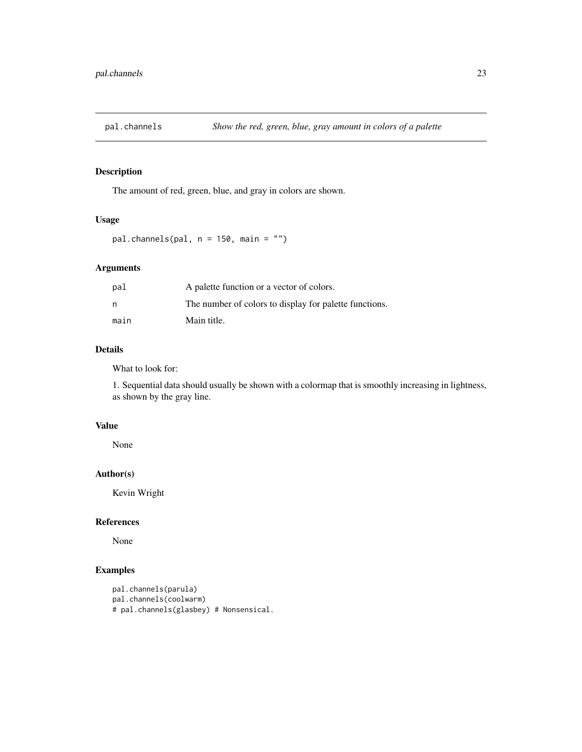<span id="page-22-0"></span>

The amount of red, green, blue, and gray in colors are shown.

# Usage

```
pal.channels(pal, n = 150, main = "")
```
# Arguments

| pal  | A palette function or a vector of colors.              |
|------|--------------------------------------------------------|
| n,   | The number of colors to display for palette functions. |
| main | Main title.                                            |

# Details

What to look for:

1. Sequential data should usually be shown with a colormap that is smoothly increasing in lightness, as shown by the gray line.

# Value

None

# Author(s)

Kevin Wright

# References

None

```
pal.channels(parula)
pal.channels(coolwarm)
# pal.channels(glasbey) # Nonsensical.
```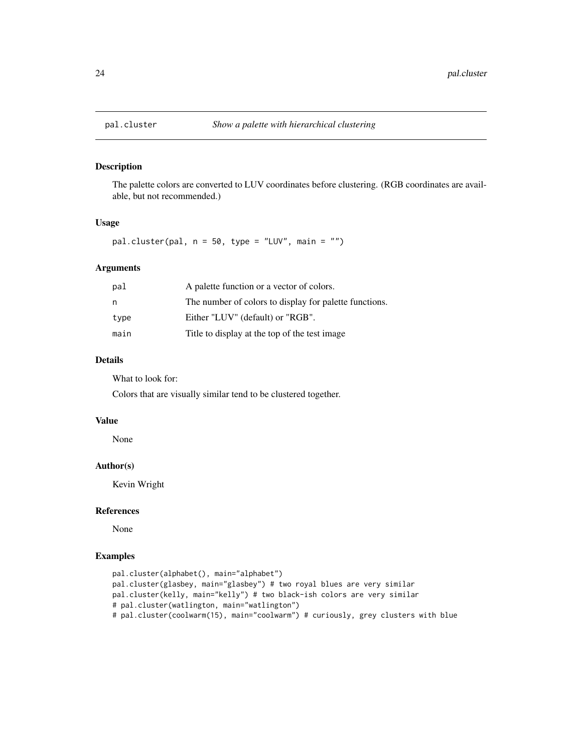<span id="page-23-0"></span>

The palette colors are converted to LUV coordinates before clustering. (RGB coordinates are available, but not recommended.)

### Usage

pal.cluster(pal,  $n = 50$ , type = "LUV", main = "")

# Arguments

| pal  | A palette function or a vector of colors.              |
|------|--------------------------------------------------------|
| n    | The number of colors to display for palette functions. |
| type | Either "LUV" (default) or "RGB".                       |
| main | Title to display at the top of the test image          |

# Details

What to look for:

Colors that are visually similar tend to be clustered together.

#### Value

None

#### Author(s)

Kevin Wright

#### References

None

```
pal.cluster(alphabet(), main="alphabet")
pal.cluster(glasbey, main="glasbey") # two royal blues are very similar
pal.cluster(kelly, main="kelly") # two black-ish colors are very similar
# pal.cluster(watlington, main="watlington")
# pal.cluster(coolwarm(15), main="coolwarm") # curiously, grey clusters with blue
```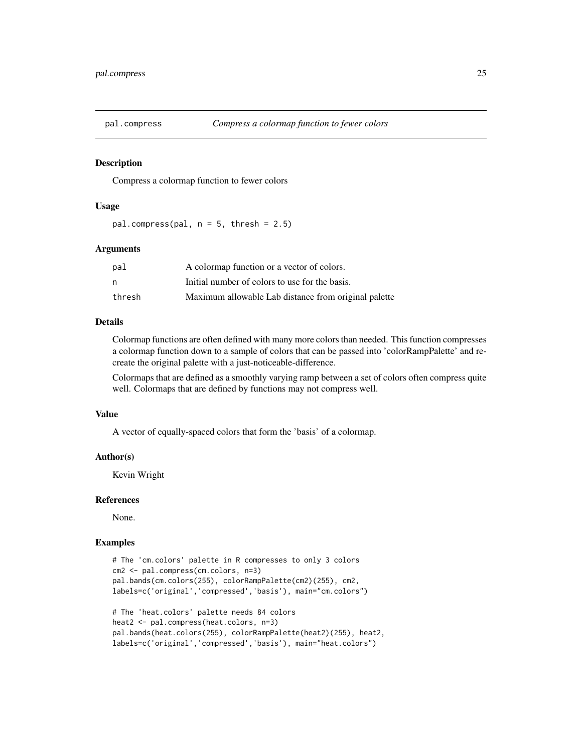<span id="page-24-0"></span>

Compress a colormap function to fewer colors

#### Usage

pal.compress(pal,  $n = 5$ , thresh = 2.5)

#### Arguments

| pal    | A colormap function or a vector of colors.           |
|--------|------------------------------------------------------|
| n      | Initial number of colors to use for the basis.       |
| thresh | Maximum allowable Lab distance from original palette |

#### Details

Colormap functions are often defined with many more colors than needed. This function compresses a colormap function down to a sample of colors that can be passed into 'colorRampPalette' and recreate the original palette with a just-noticeable-difference.

Colormaps that are defined as a smoothly varying ramp between a set of colors often compress quite well. Colormaps that are defined by functions may not compress well.

#### Value

A vector of equally-spaced colors that form the 'basis' of a colormap.

#### Author(s)

Kevin Wright

#### References

None.

```
# The 'cm.colors' palette in R compresses to only 3 colors
cm2 <- pal.compress(cm.colors, n=3)
pal.bands(cm.colors(255), colorRampPalette(cm2)(255), cm2,
labels=c('original','compressed','basis'), main="cm.colors")
# The 'heat.colors' palette needs 84 colors
```

```
heat2 <- pal.compress(heat.colors, n=3)
pal.bands(heat.colors(255), colorRampPalette(heat2)(255), heat2,
labels=c('original','compressed','basis'), main="heat.colors")
```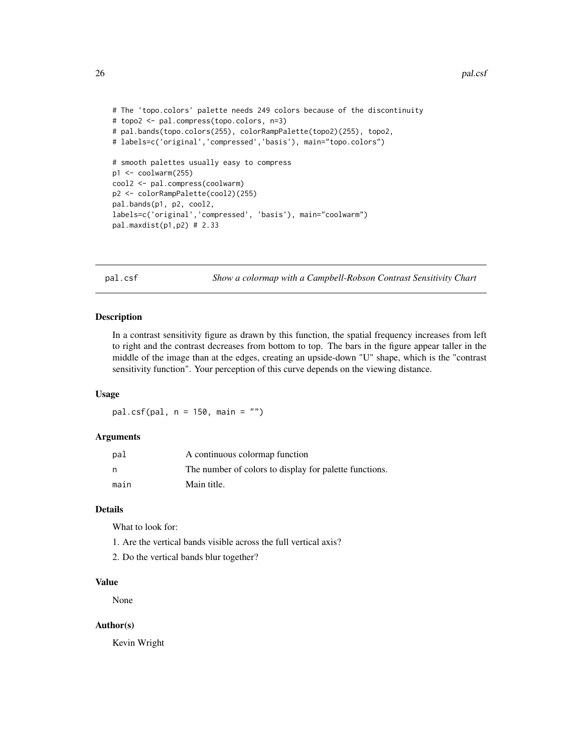```
# The 'topo.colors' palette needs 249 colors because of the discontinuity
# topo2 <- pal.compress(topo.colors, n=3)
# pal.bands(topo.colors(255), colorRampPalette(topo2)(255), topo2,
# labels=c('original','compressed','basis'), main="topo.colors")
# smooth palettes usually easy to compress
p1 <- coolwarm(255)
cool2 <- pal.compress(coolwarm)
p2 <- colorRampPalette(cool2)(255)
pal.bands(p1, p2, cool2,
labels=c('original','compressed', 'basis'), main="coolwarm")
pal.maxdist(p1,p2) # 2.33
```
pal.csf *Show a colormap with a Campbell-Robson Contrast Sensitivity Chart*

#### Description

In a contrast sensitivity figure as drawn by this function, the spatial frequency increases from left to right and the contrast decreases from bottom to top. The bars in the figure appear taller in the middle of the image than at the edges, creating an upside-down "U" shape, which is the "contrast sensitivity function". Your perception of this curve depends on the viewing distance.

#### Usage

pal.csf(pal, n = 150, main = "")

#### Arguments

| pal  | A continuous colormap function                         |
|------|--------------------------------------------------------|
| n    | The number of colors to display for palette functions. |
| main | Main title.                                            |

#### **Details**

What to look for:

- 1. Are the vertical bands visible across the full vertical axis?
- 2. Do the vertical bands blur together?

# Value

None

#### Author(s)

Kevin Wright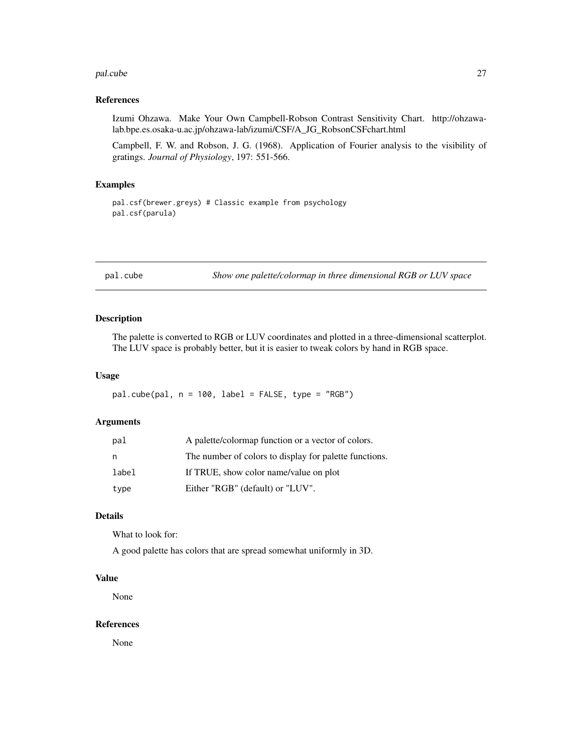#### <span id="page-26-0"></span>pal.cube 27

#### References

Izumi Ohzawa. Make Your Own Campbell-Robson Contrast Sensitivity Chart. http://ohzawalab.bpe.es.osaka-u.ac.jp/ohzawa-lab/izumi/CSF/A\_JG\_RobsonCSFchart.html

Campbell, F. W. and Robson, J. G. (1968). Application of Fourier analysis to the visibility of gratings. *Journal of Physiology*, 197: 551-566.

#### Examples

pal.csf(brewer.greys) # Classic example from psychology pal.csf(parula)

pal.cube *Show one palette/colormap in three dimensional RGB or LUV space*

### Description

The palette is converted to RGB or LUV coordinates and plotted in a three-dimensional scatterplot. The LUV space is probably better, but it is easier to tweak colors by hand in RGB space.

#### Usage

 $pal.cube(pal, n = 100, label = FALSE, type = "RGB")$ 

# Arguments

| pal   | A palette/colormap function or a vector of colors.     |
|-------|--------------------------------------------------------|
| n     | The number of colors to display for palette functions. |
| label | If TRUE, show color name/value on plot                 |
| type  | Either "RGB" (default) or "LUV".                       |

# Details

What to look for:

A good palette has colors that are spread somewhat uniformly in 3D.

#### Value

None

#### References

None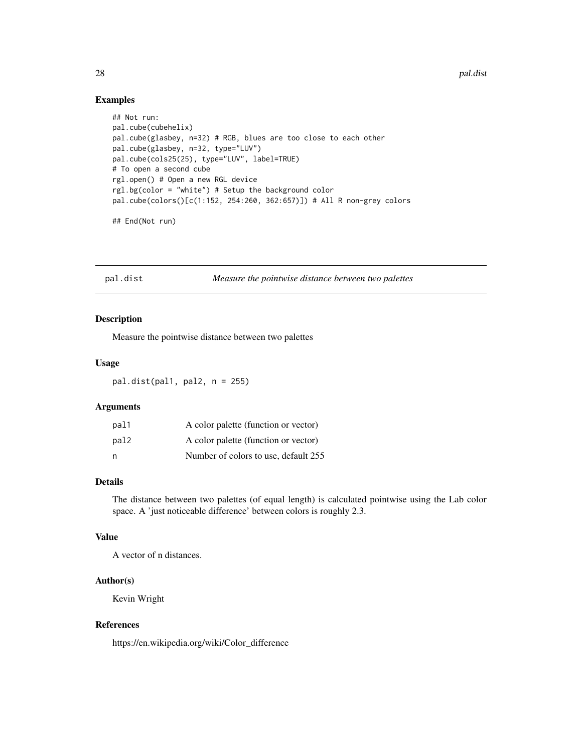### <span id="page-27-0"></span>Examples

```
## Not run:
pal.cube(cubehelix)
pal.cube(glasbey, n=32) # RGB, blues are too close to each other
pal.cube(glasbey, n=32, type="LUV")
pal.cube(cols25(25), type="LUV", label=TRUE)
# To open a second cube
rgl.open() # Open a new RGL device
rgl.bg(color = "white") # Setup the background color
pal.cube(colors()[c(1:152, 254:260, 362:657)]) # All R non-grey colors
## End(Not run)
```
pal.dist *Measure the pointwise distance between two palettes*

# Description

Measure the pointwise distance between two palettes

#### Usage

 $pal.dist(pall, pal2, n = 255)$ 

# Arguments

| pal1 | A color palette (function or vector) |
|------|--------------------------------------|
| pal2 | A color palette (function or vector) |
| n    | Number of colors to use, default 255 |

### Details

The distance between two palettes (of equal length) is calculated pointwise using the Lab color space. A 'just noticeable difference' between colors is roughly 2.3.

#### Value

A vector of n distances.

#### Author(s)

Kevin Wright

# References

https://en.wikipedia.org/wiki/Color\_difference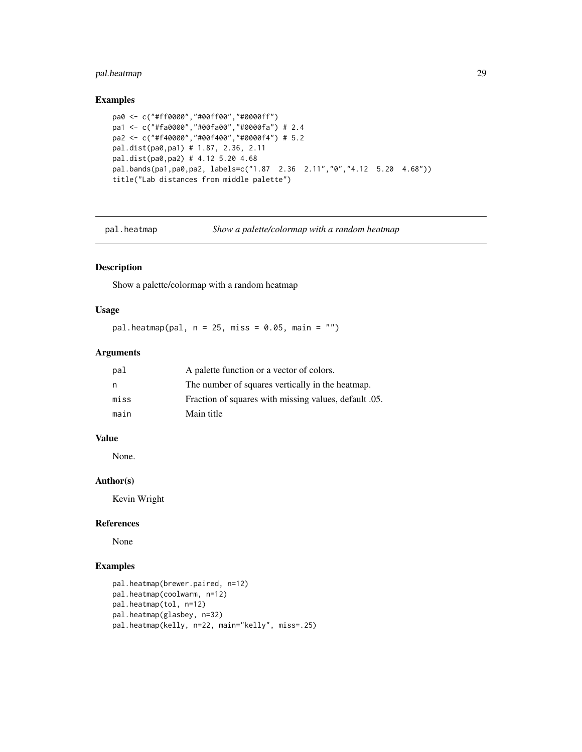# <span id="page-28-0"></span>pal.heatmap 29

# Examples

```
pa0 <- c("#ff0000","#00ff00","#0000ff")
pa1 <- c("#fa0000","#00fa00","#0000fa") # 2.4
pa2 <- c("#f40000","#00f400","#0000f4") # 5.2
pal.dist(pa0,pa1) # 1.87, 2.36, 2.11
pal.dist(pa0,pa2) # 4.12 5.20 4.68
pal.bands(pa1,pa0,pa2, labels=c("1.87 2.36 2.11","0","4.12 5.20 4.68"))
title("Lab distances from middle palette")
```
pal.heatmap *Show a palette/colormap with a random heatmap*

# Description

Show a palette/colormap with a random heatmap

#### Usage

pal.heatmap(pal,  $n = 25$ , miss = 0.05, main = "")

# Arguments

| pal  | A palette function or a vector of colors.             |
|------|-------------------------------------------------------|
| n    | The number of squares vertically in the heatmap.      |
| miss | Fraction of squares with missing values, default .05. |
| main | Main title                                            |

# Value

None.

### Author(s)

Kevin Wright

#### References

None

```
pal.heatmap(brewer.paired, n=12)
pal.heatmap(coolwarm, n=12)
pal.heatmap(tol, n=12)
pal.heatmap(glasbey, n=32)
pal.heatmap(kelly, n=22, main="kelly", miss=.25)
```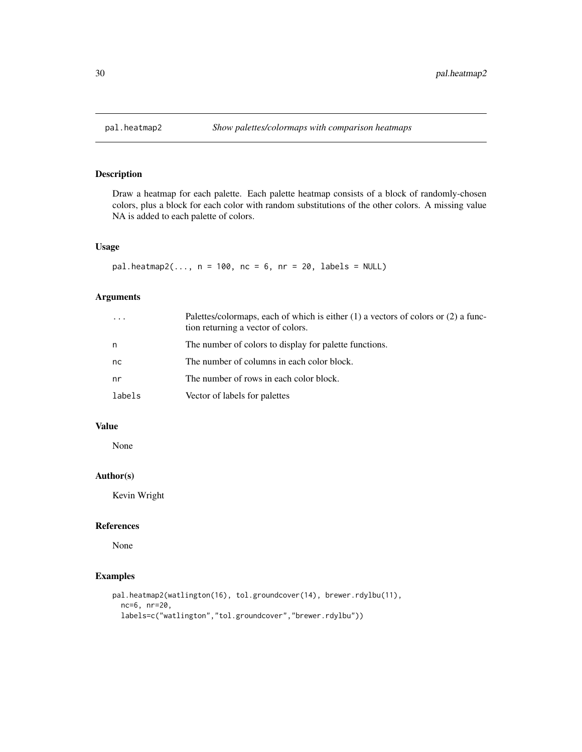<span id="page-29-0"></span>

Draw a heatmap for each palette. Each palette heatmap consists of a block of randomly-chosen colors, plus a block for each color with random substitutions of the other colors. A missing value NA is added to each palette of colors.

# Usage

```
pal.heatmap2(..., n = 100, nc = 6, nr = 20, labels = NULL)
```
# Arguments

| $\cdots$ | Palettes/colormaps, each of which is either $(1)$ a vectors of colors or $(2)$ a func-<br>tion returning a vector of colors. |
|----------|------------------------------------------------------------------------------------------------------------------------------|
| n        | The number of colors to display for palette functions.                                                                       |
| nc       | The number of columns in each color block.                                                                                   |
| nr       | The number of rows in each color block.                                                                                      |
| labels   | Vector of labels for palettes                                                                                                |

# Value

None

# Author(s)

Kevin Wright

#### References

None

```
pal.heatmap2(watlington(16), tol.groundcover(14), brewer.rdylbu(11),
  nc=6, nr=20,
  labels=c("watlington","tol.groundcover","brewer.rdylbu"))
```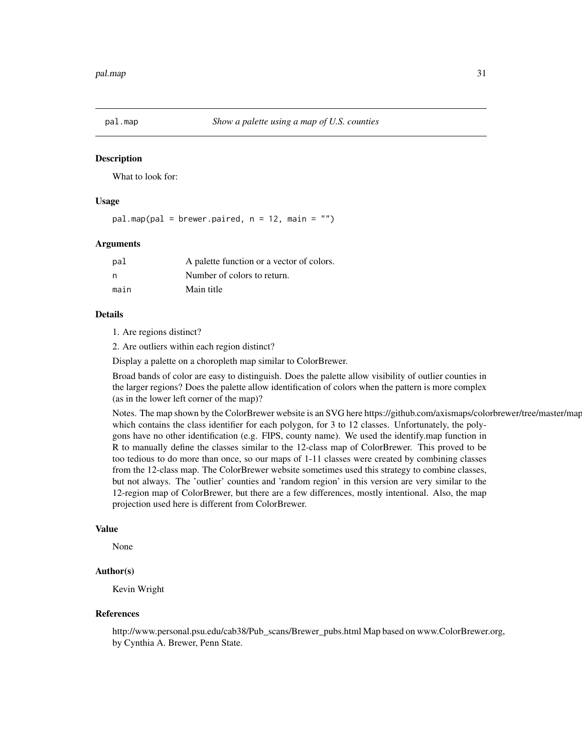<span id="page-30-0"></span>

What to look for:

#### Usage

 $palmap(pal = brewer.paired, n = 12, main = "")$ 

#### Arguments

| pal  | A palette function or a vector of colors. |
|------|-------------------------------------------|
| - n  | Number of colors to return.               |
| main | Main title                                |

#### Details

1. Are regions distinct?

2. Are outliers within each region distinct?

Display a palette on a choropleth map similar to ColorBrewer.

Broad bands of color are easy to distinguish. Does the palette allow visibility of outlier counties in the larger regions? Does the palette allow identification of colors when the pattern is more complex (as in the lower left corner of the map)?

Notes. The map shown by the ColorBrewer website is an SVG here https://github.com/axismaps/colorbrewer/tree/master/map which contains the class identifier for each polygon, for 3 to 12 classes. Unfortunately, the polygons have no other identification (e.g. FIPS, county name). We used the identify.map function in R to manually define the classes similar to the 12-class map of ColorBrewer. This proved to be too tedious to do more than once, so our maps of 1-11 classes were created by combining classes from the 12-class map. The ColorBrewer website sometimes used this strategy to combine classes, but not always. The 'outlier' counties and 'random region' in this version are very similar to the 12-region map of ColorBrewer, but there are a few differences, mostly intentional. Also, the map projection used here is different from ColorBrewer.

#### Value

None

#### Author(s)

Kevin Wright

#### References

http://www.personal.psu.edu/cab38/Pub\_scans/Brewer\_pubs.html Map based on www.ColorBrewer.org, by Cynthia A. Brewer, Penn State.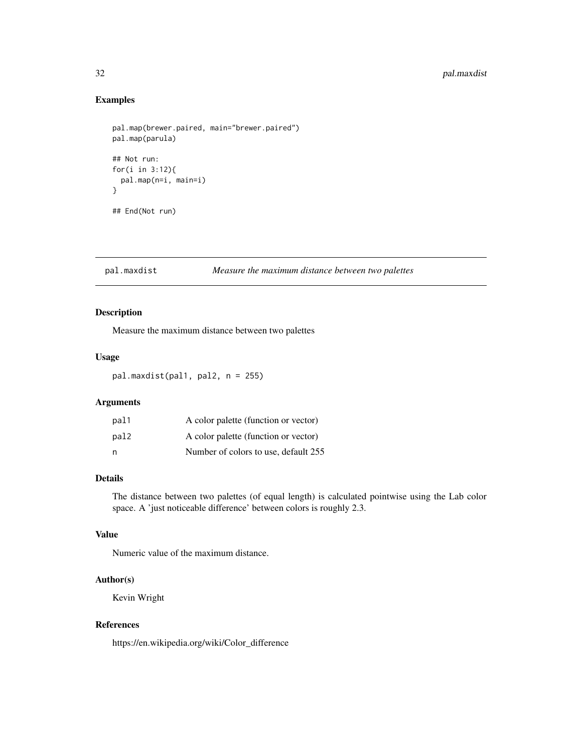# <span id="page-31-0"></span>Examples

```
pal.map(brewer.paired, main="brewer.paired")
pal.map(parula)
## Not run:
for(i in 3:12){
  pal.map(n=i, main=i)
}
## End(Not run)
```
#### pal.maxdist *Measure the maximum distance between two palettes*

# Description

Measure the maximum distance between two palettes

#### Usage

pal.maxdist(pal1, pal2, n = 255)

# Arguments

| pal1 | A color palette (function or vector) |
|------|--------------------------------------|
| pal2 | A color palette (function or vector) |
| n    | Number of colors to use, default 255 |

# Details

The distance between two palettes (of equal length) is calculated pointwise using the Lab color space. A 'just noticeable difference' between colors is roughly 2.3.

#### Value

Numeric value of the maximum distance.

# Author(s)

Kevin Wright

# References

https://en.wikipedia.org/wiki/Color\_difference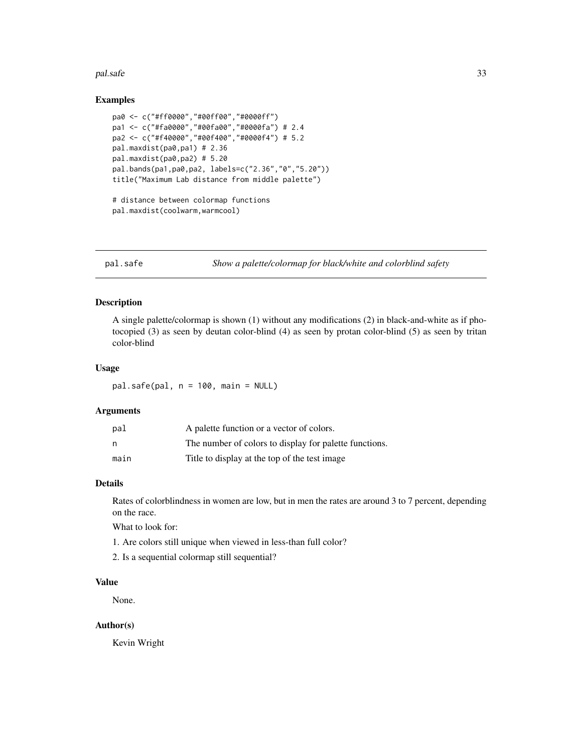#### <span id="page-32-0"></span>pal.safe 33

#### Examples

```
pa0 <- c("#ff0000","#00ff00","#0000ff")
pa1 <- c("#fa0000","#00fa00","#0000fa") # 2.4
pa2 <- c("#f40000","#00f400","#0000f4") # 5.2
pal.maxdist(pa0,pa1) # 2.36
pal.maxdist(pa0,pa2) # 5.20
pal.bands(pa1,pa0,pa2, labels=c("2.36","0","5.20"))
title("Maximum Lab distance from middle palette")
# distance between colormap functions
```

```
pal.maxdist(coolwarm,warmcool)
```
pal.safe *Show a palette/colormap for black/white and colorblind safety*

# Description

A single palette/colormap is shown (1) without any modifications (2) in black-and-white as if photocopied (3) as seen by deutan color-blind (4) as seen by protan color-blind (5) as seen by tritan color-blind

#### Usage

pal.safe(pal, n = 100, main = NULL)

### Arguments

| pal  | A palette function or a vector of colors.              |
|------|--------------------------------------------------------|
| n    | The number of colors to display for palette functions. |
| main | Title to display at the top of the test image.         |

#### Details

Rates of colorblindness in women are low, but in men the rates are around 3 to 7 percent, depending on the race.

What to look for:

- 1. Are colors still unique when viewed in less-than full color?
- 2. Is a sequential colormap still sequential?

# Value

None.

# Author(s)

Kevin Wright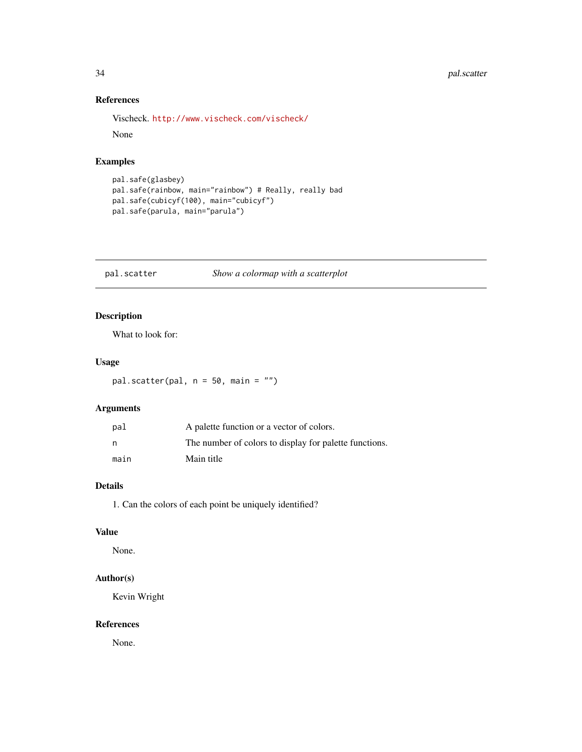# <span id="page-33-0"></span>34 pal.scatter

# References

```
Vischeck. http://www.vischeck.com/vischeck/
```
None

# Examples

```
pal.safe(glasbey)
pal.safe(rainbow, main="rainbow") # Really, really bad
pal.safe(cubicyf(100), main="cubicyf")
pal.safe(parula, main="parula")
```
pal.scatter *Show a colormap with a scatterplot*

# Description

What to look for:

# Usage

pal.scatter(pal, n = 50, main = "")

# Arguments

| pal  | A palette function or a vector of colors.              |
|------|--------------------------------------------------------|
| n    | The number of colors to display for palette functions. |
| main | Main title                                             |

# Details

1. Can the colors of each point be uniquely identified?

# Value

None.

# Author(s)

Kevin Wright

# References

None.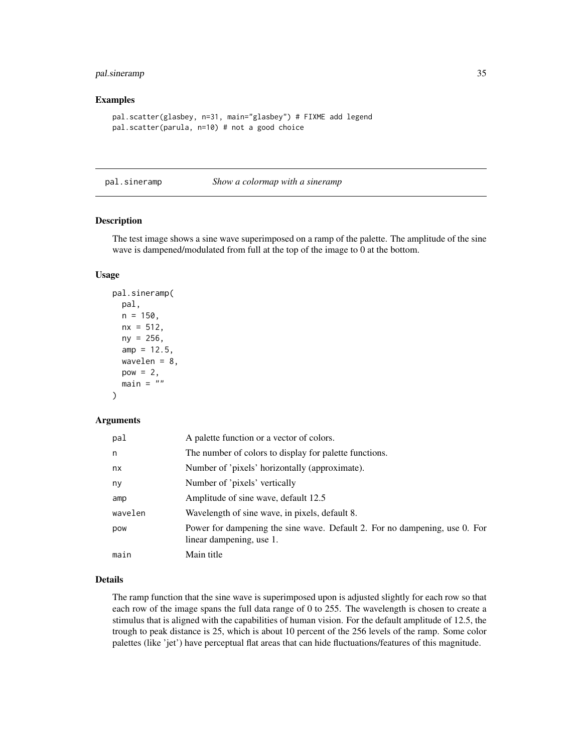# <span id="page-34-0"></span>pal.sineramp 35

#### Examples

```
pal.scatter(glasbey, n=31, main="glasbey") # FIXME add legend
pal.scatter(parula, n=10) # not a good choice
```
pal.sineramp *Show a colormap with a sineramp*

#### Description

The test image shows a sine wave superimposed on a ramp of the palette. The amplitude of the sine wave is dampened/modulated from full at the top of the image to 0 at the bottom.

#### Usage

```
pal.sineramp(
  pal,
 n = 150.
 nx = 512,
  ny = 256,
  amp = 12.5,
  wavelen = 8,
  pow = 2,
  main = "")
```
#### Arguments

| pal     | A palette function or a vector of colors.                                                              |
|---------|--------------------------------------------------------------------------------------------------------|
| n       | The number of colors to display for palette functions.                                                 |
| nx      | Number of 'pixels' horizontally (approximate).                                                         |
| ny      | Number of 'pixels' vertically                                                                          |
| amp     | Amplitude of sine wave, default 12.5                                                                   |
| wavelen | Wavelength of sine wave, in pixels, default 8.                                                         |
| pow     | Power for dampening the sine wave. Default 2. For no dampening, use 0. For<br>linear dampening, use 1. |
| main    | Main title                                                                                             |

# Details

The ramp function that the sine wave is superimposed upon is adjusted slightly for each row so that each row of the image spans the full data range of 0 to 255. The wavelength is chosen to create a stimulus that is aligned with the capabilities of human vision. For the default amplitude of 12.5, the trough to peak distance is 25, which is about 10 percent of the 256 levels of the ramp. Some color palettes (like 'jet') have perceptual flat areas that can hide fluctuations/features of this magnitude.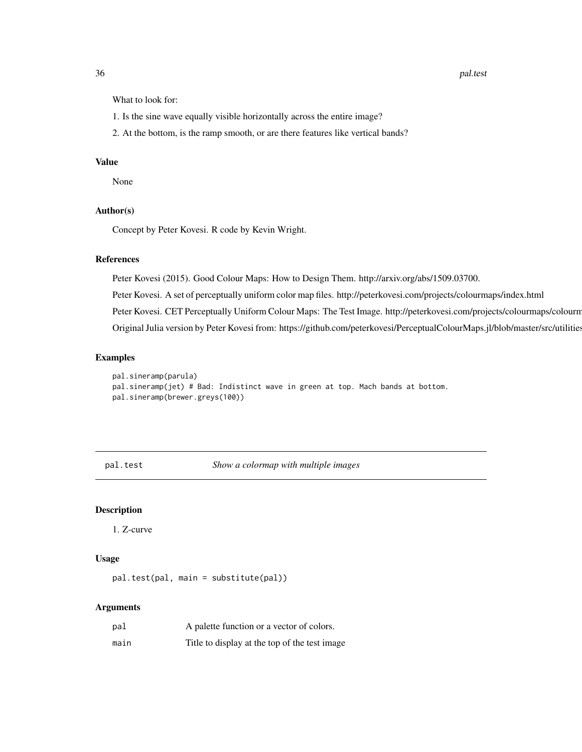#### <span id="page-35-0"></span>36 pal.test parameters and parameters are parameters of the parameters of the pal.test parameters are parameters of the parameters of the parameters of the parameters of the parameters of the parameters of the parameters o

What to look for:

- 1. Is the sine wave equally visible horizontally across the entire image?
- 2. At the bottom, is the ramp smooth, or are there features like vertical bands?

# Value

None

#### Author(s)

Concept by Peter Kovesi. R code by Kevin Wright.

#### References

Peter Kovesi (2015). Good Colour Maps: How to Design Them. http://arxiv.org/abs/1509.03700.

Peter Kovesi. A set of perceptually uniform color map files. http://peterkovesi.com/projects/colourmaps/index.html

Peter Kovesi. CET Perceptually Uniform Colour Maps: The Test Image. http://peterkovesi.com/projects/colourmaps/colourn

Original Julia version by Peter Kovesi from: https://github.com/peterkovesi/PerceptualColourMaps.jl/blob/master/src/utilities.jl

#### Examples

```
pal.sineramp(parula)
pal.sineramp(jet) # Bad: Indistinct wave in green at top. Mach bands at bottom.
pal.sineramp(brewer.greys(100))
```
pal.test *Show a colormap with multiple images*

#### Description

1. Z-curve

#### Usage

```
pal.test(pal, main = substitute(pal))
```
#### Arguments

| pal  | A palette function or a vector of colors.      |
|------|------------------------------------------------|
| main | Title to display at the top of the test image. |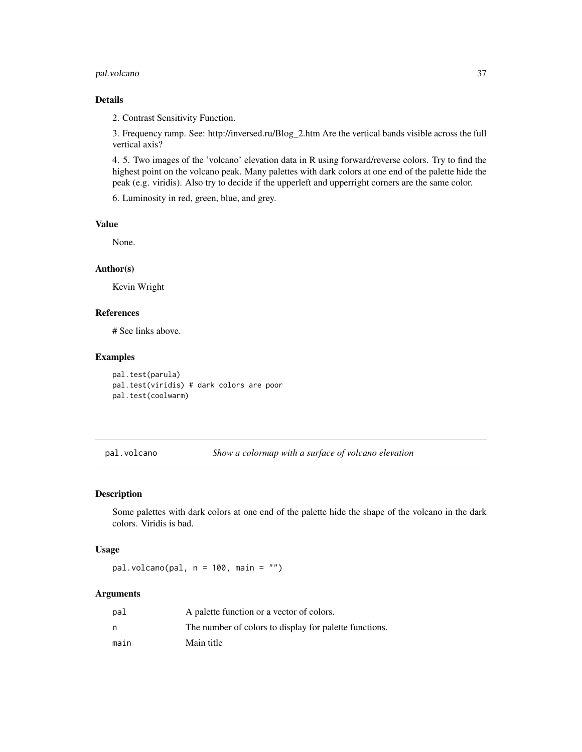# <span id="page-36-0"></span>pal.volcano 37

# Details

2. Contrast Sensitivity Function.

3. Frequency ramp. See: http://inversed.ru/Blog\_2.htm Are the vertical bands visible across the full vertical axis?

4. 5. Two images of the 'volcano' elevation data in R using forward/reverse colors. Try to find the highest point on the volcano peak. Many palettes with dark colors at one end of the palette hide the peak (e.g. viridis). Also try to decide if the upperleft and upperright corners are the same color.

6. Luminosity in red, green, blue, and grey.

# Value

None.

# Author(s)

Kevin Wright

#### References

# See links above.

# Examples

```
pal.test(parula)
pal.test(viridis) # dark colors are poor
pal.test(coolwarm)
```
pal.volcano *Show a colormap with a surface of volcano elevation*

#### Description

Some palettes with dark colors at one end of the palette hide the shape of the volcano in the dark colors. Viridis is bad.

# Usage

pal.volcano(pal,  $n = 100$ , main = "")

#### Arguments

| pal  | A palette function or a vector of colors.              |
|------|--------------------------------------------------------|
| n    | The number of colors to display for palette functions. |
| main | Main title                                             |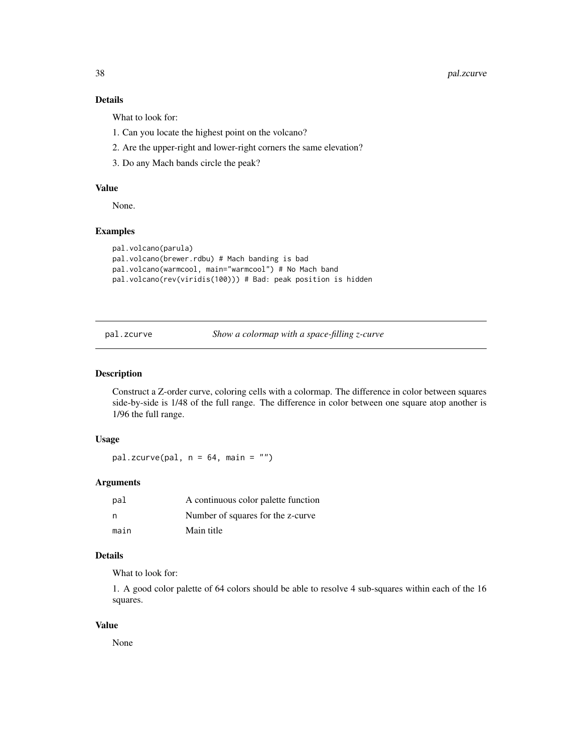# <span id="page-37-0"></span>Details

What to look for:

- 1. Can you locate the highest point on the volcano?
- 2. Are the upper-right and lower-right corners the same elevation?
- 3. Do any Mach bands circle the peak?

# Value

None.

# Examples

```
pal.volcano(parula)
pal.volcano(brewer.rdbu) # Mach banding is bad
pal.volcano(warmcool, main="warmcool") # No Mach band
pal.volcano(rev(viridis(100))) # Bad: peak position is hidden
```
pal.zcurve *Show a colormap with a space-filling z-curve*

#### Description

Construct a Z-order curve, coloring cells with a colormap. The difference in color between squares side-by-side is 1/48 of the full range. The difference in color between one square atop another is 1/96 the full range.

# Usage

pal.zcurve(pal,  $n = 64$ , main = "")

#### Arguments

| pal  | A continuous color palette function |
|------|-------------------------------------|
| - n  | Number of squares for the z-curve.  |
| main | Main title                          |

#### Details

What to look for:

1. A good color palette of 64 colors should be able to resolve 4 sub-squares within each of the 16 squares.

# Value

None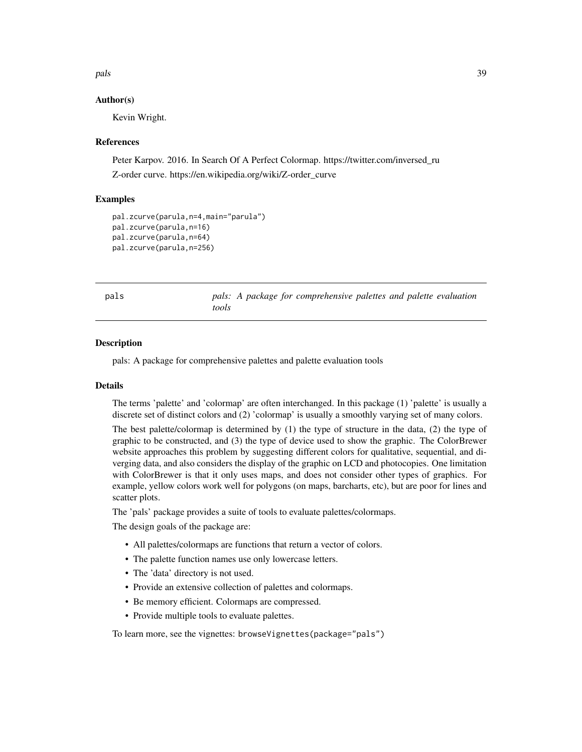#### <span id="page-38-0"></span>pals 39

# Author(s)

Kevin Wright.

# References

Peter Karpov. 2016. In Search Of A Perfect Colormap. https://twitter.com/inversed\_ru Z-order curve. https://en.wikipedia.org/wiki/Z-order\_curve

### Examples

```
pal.zcurve(parula,n=4,main="parula")
pal.zcurve(parula,n=16)
pal.zcurve(parula,n=64)
pal.zcurve(parula,n=256)
```
pals *pals: A package for comprehensive palettes and palette evaluation tools*

#### **Description**

pals: A package for comprehensive palettes and palette evaluation tools

#### Details

The terms 'palette' and 'colormap' are often interchanged. In this package (1) 'palette' is usually a discrete set of distinct colors and (2) 'colormap' is usually a smoothly varying set of many colors.

The best palette/colormap is determined by (1) the type of structure in the data, (2) the type of graphic to be constructed, and (3) the type of device used to show the graphic. The ColorBrewer website approaches this problem by suggesting different colors for qualitative, sequential, and diverging data, and also considers the display of the graphic on LCD and photocopies. One limitation with ColorBrewer is that it only uses maps, and does not consider other types of graphics. For example, yellow colors work well for polygons (on maps, barcharts, etc), but are poor for lines and scatter plots.

The 'pals' package provides a suite of tools to evaluate palettes/colormaps.

The design goals of the package are:

- All palettes/colormaps are functions that return a vector of colors.
- The palette function names use only lowercase letters.
- The 'data' directory is not used.
- Provide an extensive collection of palettes and colormaps.
- Be memory efficient. Colormaps are compressed.
- Provide multiple tools to evaluate palettes.

To learn more, see the vignettes: browseVignettes(package="pals")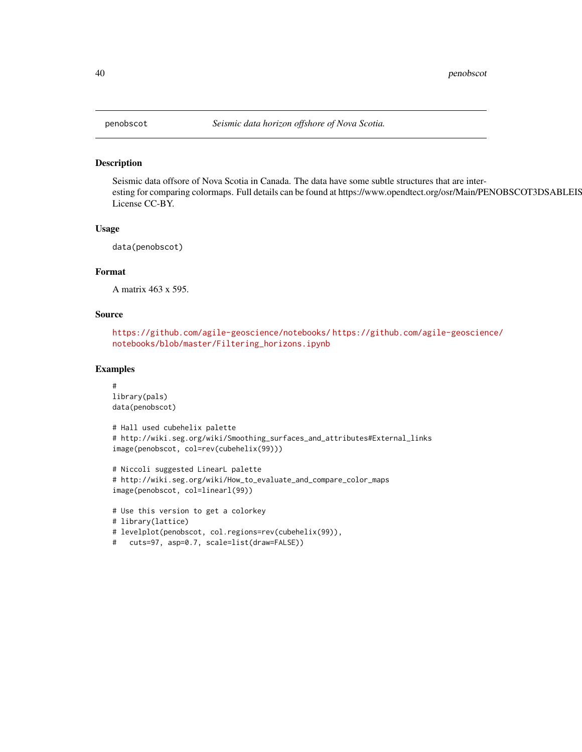Seismic data offsore of Nova Scotia in Canada. The data have some subtle structures that are interesting for comparing colormaps. Full details can be found at https://www.opendtect.org/osr/Main/PENOBSCOT3DSABLEIS License CC-BY.

#### Usage

```
data(penobscot)
```
# Format

A matrix 463 x 595.

# Source

```
https://github.com/agile-geoscience/notebooks/ https://github.com/agile-geoscience/
notebooks/blob/master/Filtering_horizons.ipynb
```

```
#
library(pals)
data(penobscot)
```

```
# Hall used cubehelix palette
# http://wiki.seg.org/wiki/Smoothing_surfaces_and_attributes#External_links
image(penobscot, col=rev(cubehelix(99)))
```

```
# Niccoli suggested LinearL palette
# http://wiki.seg.org/wiki/How_to_evaluate_and_compare_color_maps
image(penobscot, col=linearl(99))
```

```
# Use this version to get a colorkey
# library(lattice)
# levelplot(penobscot, col.regions=rev(cubehelix(99)),
# cuts=97, asp=0.7, scale=list(draw=FALSE))
```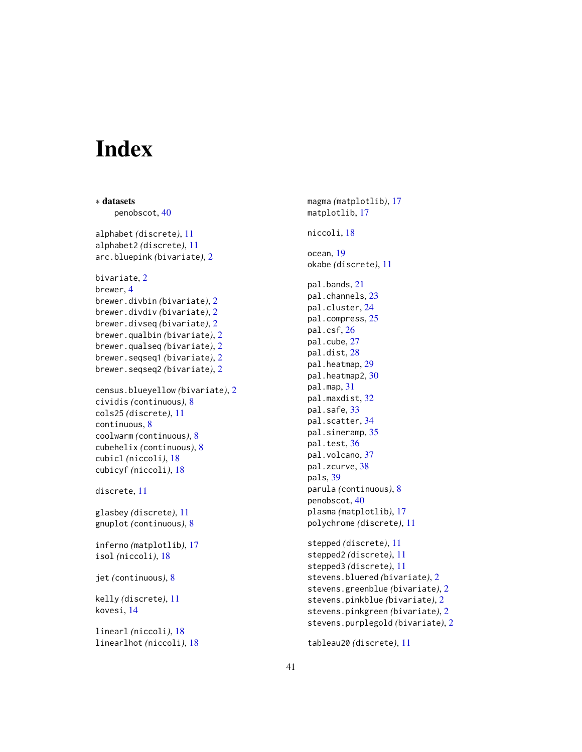# <span id="page-40-0"></span>Index

∗ datasets penobscot, [40](#page-39-0) alphabet *(*discrete*)*, [11](#page-10-0) alphabet2 *(*discrete*)*, [11](#page-10-0) arc.bluepink *(*bivariate*)*, [2](#page-1-0) bivariate, [2](#page-1-0) brewer, [4](#page-3-0) brewer.divbin *(*bivariate*)*, [2](#page-1-0) brewer.divdiv *(*bivariate*)*, [2](#page-1-0) brewer.divseq *(*bivariate*)*, [2](#page-1-0) brewer.qualbin *(*bivariate*)*, [2](#page-1-0) brewer.qualseq *(*bivariate*)*, [2](#page-1-0) brewer.seqseq1 *(*bivariate*)*, [2](#page-1-0) brewer.seqseq2 *(*bivariate*)*, [2](#page-1-0) census.blueyellow *(*bivariate*)*, [2](#page-1-0) cividis *(*continuous*)*, [8](#page-7-0) cols25 *(*discrete*)*, [11](#page-10-0) continuous, [8](#page-7-0) coolwarm *(*continuous*)*, [8](#page-7-0) cubehelix *(*continuous*)*, [8](#page-7-0) cubicl *(*niccoli*)*, [18](#page-17-0) cubicyf *(*niccoli*)*, [18](#page-17-0) discrete, [11](#page-10-0) glasbey *(*discrete*)*, [11](#page-10-0) gnuplot *(*continuous*)*, [8](#page-7-0) inferno *(*matplotlib*)*, [17](#page-16-0) isol *(*niccoli*)*, [18](#page-17-0) jet *(*continuous*)*, [8](#page-7-0) kelly *(*discrete*)*, [11](#page-10-0) kovesi, [14](#page-13-0) linearl *(*niccoli*)*, [18](#page-17-0) linearlhot *(*niccoli*)*, [18](#page-17-0)

magma *(*matplotlib*)*, [17](#page-16-0) matplotlib, [17](#page-16-0) niccoli, [18](#page-17-0) ocean, [19](#page-18-0) okabe *(*discrete*)*, [11](#page-10-0) pal.bands, [21](#page-20-0) pal.channels, [23](#page-22-0) pal.cluster, [24](#page-23-0) pal.compress, [25](#page-24-0) pal.csf, [26](#page-25-0) pal.cube, [27](#page-26-0) pal.dist, [28](#page-27-0) pal.heatmap, [29](#page-28-0) pal.heatmap2, [30](#page-29-0) pal.map, [31](#page-30-0) pal.maxdist, [32](#page-31-0) pal.safe, [33](#page-32-0) pal.scatter, [34](#page-33-0) pal.sineramp, [35](#page-34-0) pal.test, [36](#page-35-0) pal.volcano, [37](#page-36-0) pal.zcurve, [38](#page-37-0) pals, [39](#page-38-0) parula *(*continuous*)*, [8](#page-7-0) penobscot, [40](#page-39-0) plasma *(*matplotlib*)*, [17](#page-16-0) polychrome *(*discrete*)*, [11](#page-10-0) stepped *(*discrete*)*, [11](#page-10-0) stepped2 *(*discrete*)*, [11](#page-10-0) stepped3 *(*discrete*)*, [11](#page-10-0) stevens.bluered *(*bivariate*)*, [2](#page-1-0) stevens.greenblue *(*bivariate*)*, [2](#page-1-0) stevens.pinkblue *(*bivariate*)*, [2](#page-1-0) stevens.pinkgreen *(*bivariate*)*, [2](#page-1-0) stevens.purplegold *(*bivariate*)*, [2](#page-1-0) tableau20 *(*discrete*)*, [11](#page-10-0)